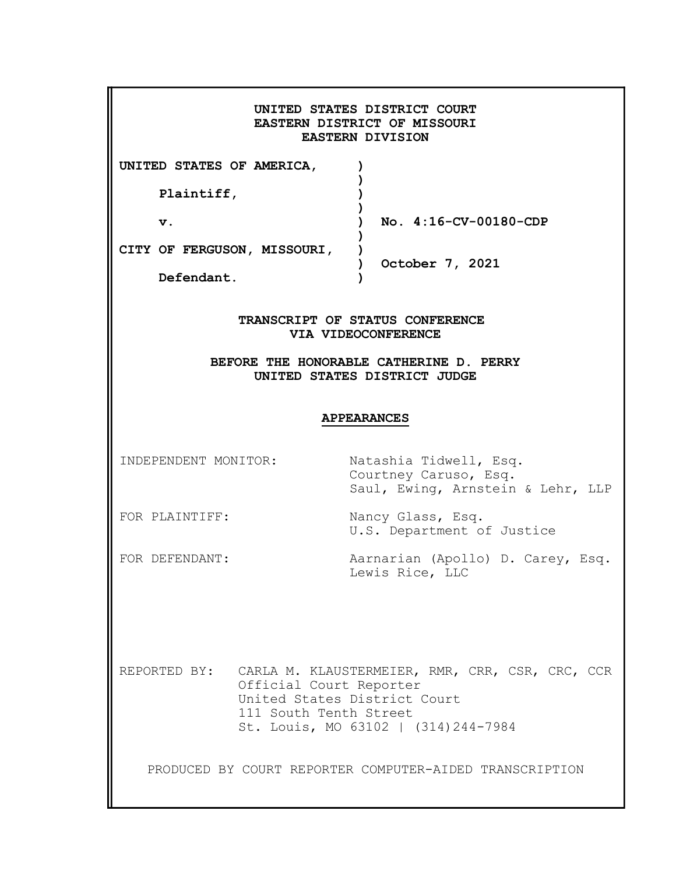|                                           | <b>EASTERN DIVISION</b>                                                           | UNITED STATES DISTRICT COURT<br>EASTERN DISTRICT OF MISSOURI                                         |
|-------------------------------------------|-----------------------------------------------------------------------------------|------------------------------------------------------------------------------------------------------|
| UNITED STATES OF AMERICA,                 |                                                                                   |                                                                                                      |
| Plaintiff,<br>$\mathbf v$ .               |                                                                                   | No. 4:16-CV-00180-CDP                                                                                |
| CITY OF FERGUSON, MISSOURI,<br>Defendant. |                                                                                   | October 7, 2021                                                                                      |
|                                           | VIA VIDEOCONFERENCE<br><b>APPEARANCES</b>                                         | BEFORE THE HONORABLE CATHERINE D. PERRY<br>UNITED STATES DISTRICT JUDGE                              |
| INDEPENDENT MONITOR:                      |                                                                                   | Natashia Tidwell, Esq.<br>Courtney Caruso, Esq.<br>Saul, Ewing, Arnstein & Lehr, LLP                 |
| FOR PLAINTIFF:                            |                                                                                   | Nancy Glass, Esq.<br>U.S. Department of Justice                                                      |
| FOR DEFENDANT:                            |                                                                                   | Aarnarian (Apollo) D. Carey, Esq.<br>Lewis Rice, LLC                                                 |
|                                           | Official Court Reporter<br>United States District Court<br>111 South Tenth Street | REPORTED BY: CARLA M. KLAUSTERMEIER, RMR, CRR, CSR, CRC, CCR<br>St. Louis, MO 63102   (314) 244-7984 |
|                                           |                                                                                   | PRODUCED BY COURT REPORTER COMPUTER-AIDED TRANSCRIPTION                                              |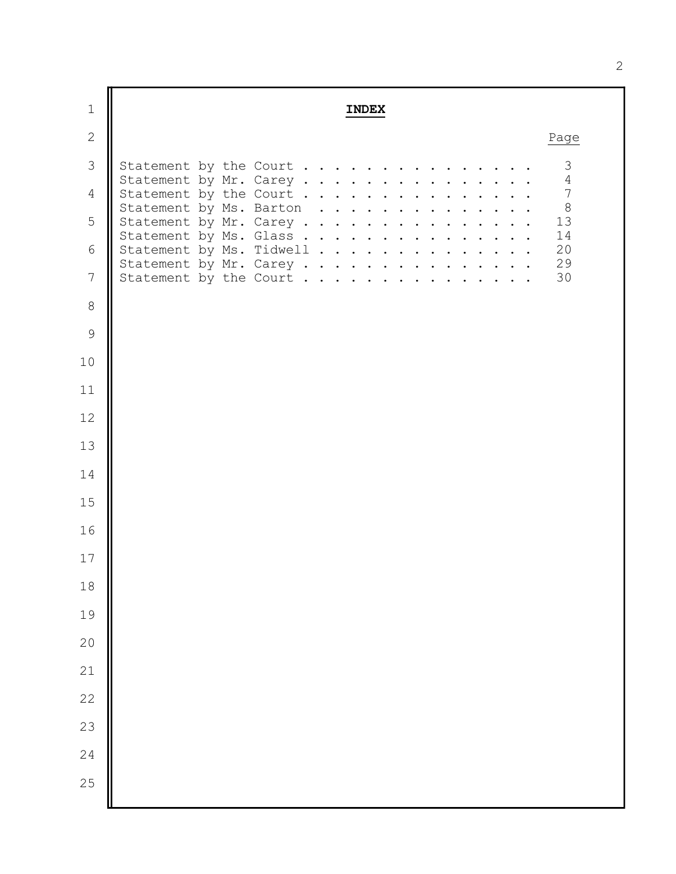| $\mathbf 1$    | <b>INDEX</b>                                       |                                        |
|----------------|----------------------------------------------------|----------------------------------------|
| $\mathbf{2}$   |                                                    | Page                                   |
| 3              | Statement by the Court                             | 3<br>$\overline{4}$                    |
| $\overline{4}$ | Statement by Mr. Carey<br>Statement by the Court   | $\overline{7}$                         |
| 5              | Statement by Ms. Barton<br>Statement by Mr. Carey  | $\begin{array}{c} 8 \\ 13 \end{array}$ |
| 6              | Statement by Ms. Glass<br>Statement by Ms. Tidwell | 14<br>20                               |
| $7\phantom{.}$ | Statement by Mr. Carey<br>Statement by the Court   | 29<br>30                               |
| 8              |                                                    |                                        |
| $\mathsf 9$    |                                                    |                                        |
| 10             |                                                    |                                        |
| 11             |                                                    |                                        |
| 12             |                                                    |                                        |
| 13             |                                                    |                                        |
| 14             |                                                    |                                        |
| 15             |                                                    |                                        |
| 16             |                                                    |                                        |
| 17             |                                                    |                                        |
| $18\,$         |                                                    |                                        |
| 19             |                                                    |                                        |
| $20$           |                                                    |                                        |
| $21$           |                                                    |                                        |
| $2\sqrt{2}$    |                                                    |                                        |
| 23             |                                                    |                                        |
| 24             |                                                    |                                        |
| 25             |                                                    |                                        |
|                |                                                    |                                        |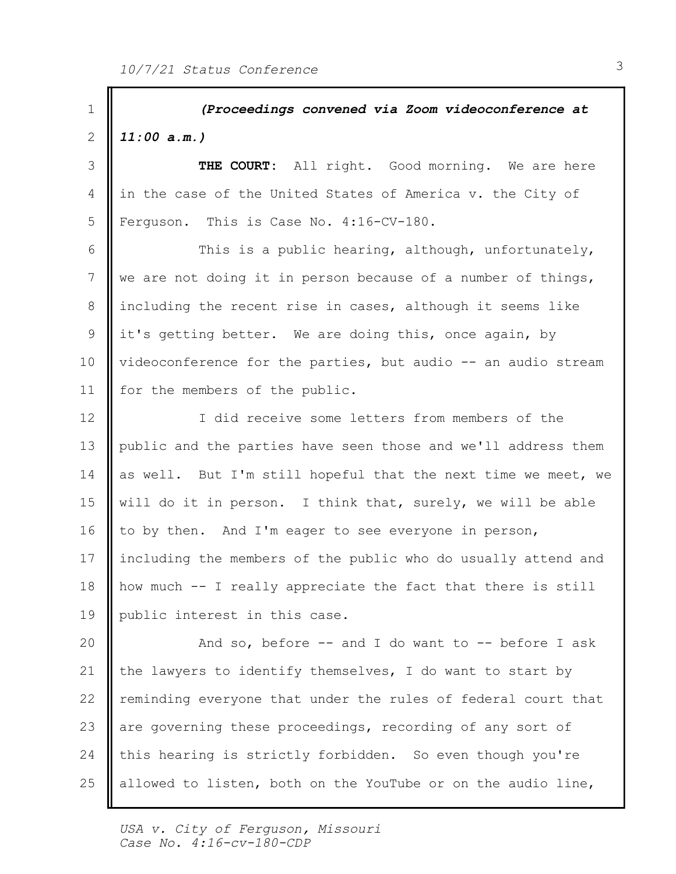(Proceedings convened via Zoom videoconference at 1 2 |  $11:00$  a.m.) 3 || THE COURT: All right. Good morning. We are here 4 in the case of the United States of America v. the City of 5 Ferguson. This is Case No. 4:16-CV-180. 6 **|** This is a public hearing, although, unfortunately, 7 We are not doing it in person because of a number of things, 8 || including the recent rise in cases, although it seems like 9 || it's getting better. We are doing this, once again, by 10 | videoconference for the parties, but audio -- an audio stream 11 | for the members of the public. 12 || I did receive some letters from members of the 13 || public and the parties have seen those and we'll address them 14 as well. But I'm still hopeful that the next time we meet, we  $\vert$ 15 || will do it in person. I think that, surely, we will be able 16 || to by then. And I'm eager to see everyone in person, 17 | including the members of the public who do usually attend and 18 || how much -- I really appreciate the fact that there is still 19 || public interest in this case. And so, before -- and I do want to -- before I ask 20 21  $\parallel$  the lawyers to identify themselves, I do want to start by 22 | reminding everyone that under the rules of federal court that 23 are governing these proceedings, recording of any sort of 24 | this hearing is strictly forbidden. So even though you're allowed to listen, both on the YouTube or on the audio line, 25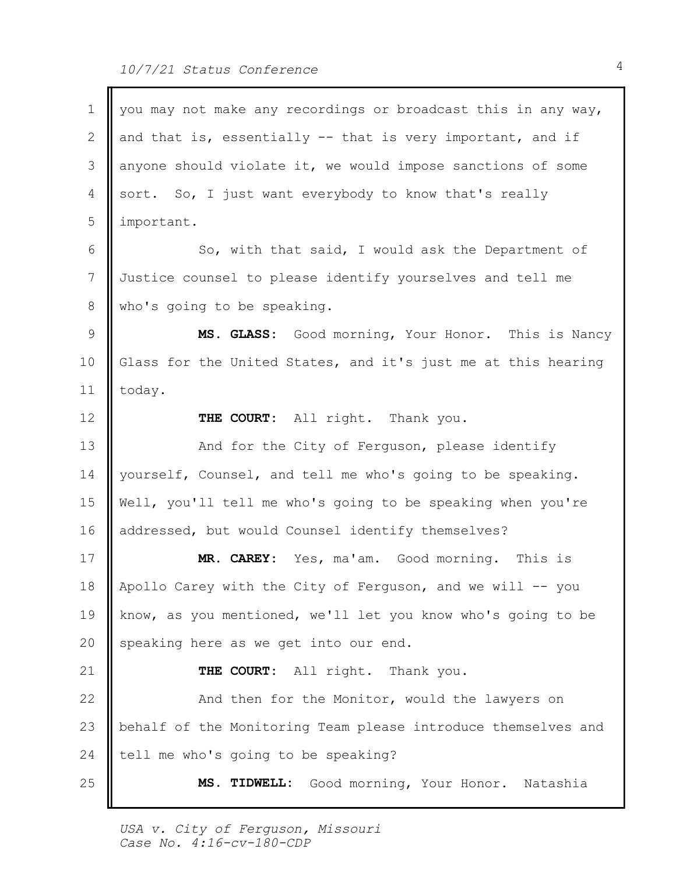$\blacksquare$ 

| $\mathbf 1$     | you may not make any recordings or broadcast this in any way, |  |
|-----------------|---------------------------------------------------------------|--|
| 2               | and that is, essentially -- that is very important, and if    |  |
| 3               | anyone should violate it, we would impose sanctions of some   |  |
| 4               | sort. So, I just want everybody to know that's really         |  |
| 5               | important.                                                    |  |
| 6               | So, with that said, I would ask the Department of             |  |
| $7\phantom{.0}$ | Justice counsel to please identify yourselves and tell me     |  |
| 8               | who's going to be speaking.                                   |  |
| $\overline{9}$  | MS. GLASS: Good morning, Your Honor. This is Nancy            |  |
| 10              | Glass for the United States, and it's just me at this hearing |  |
| 11              | today.                                                        |  |
| 12              | THE COURT: All right. Thank you.                              |  |
| 13              | And for the City of Ferguson, please identify                 |  |
| 14              | yourself, Counsel, and tell me who's going to be speaking.    |  |
| 15              | Well, you'll tell me who's going to be speaking when you're   |  |
| 16              | addressed, but would Counsel identify themselves?             |  |
| 17              | MR. CAREY: Yes, ma'am. Good morning. This is                  |  |
| 18              | Apollo Carey with the City of Ferguson, and we will -- you    |  |
| 19              | know, as you mentioned, we'll let you know who's going to be  |  |
| 20              | speaking here as we get into our end.                         |  |
| 21              | THE COURT: All right. Thank you.                              |  |
| 22              | And then for the Monitor, would the lawyers on                |  |
| 23              | behalf of the Monitoring Team please introduce themselves and |  |
| 24              | tell me who's going to be speaking?                           |  |
| 25              | MS. TIDWELL: Good morning, Your Honor. Natashia               |  |
|                 |                                                               |  |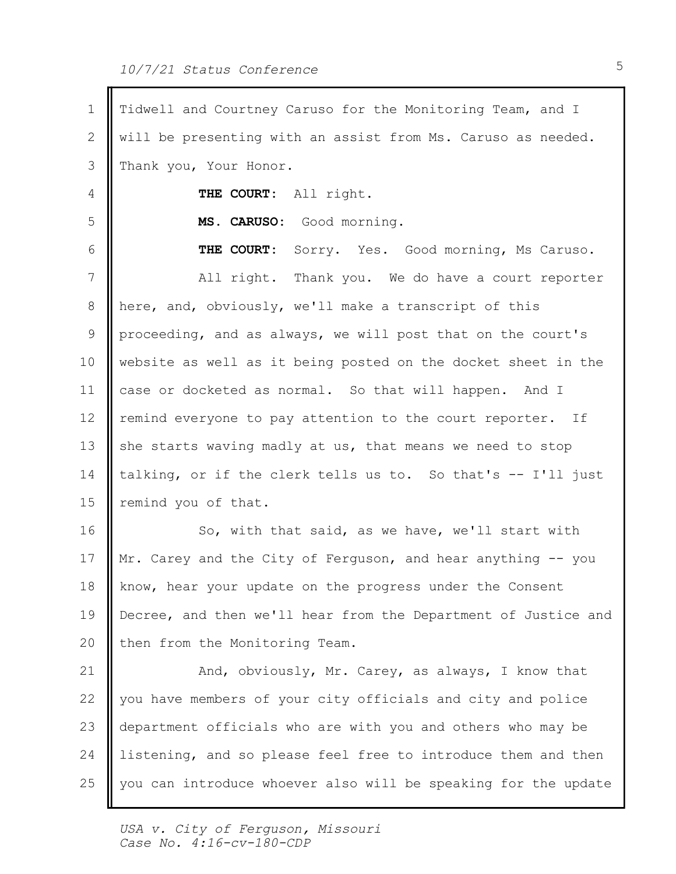| 1  | Tidwell and Courtney Caruso for the Monitoring Team, and I     |  |
|----|----------------------------------------------------------------|--|
| 2  | will be presenting with an assist from Ms. Caruso as needed.   |  |
| 3  | Thank you, Your Honor.                                         |  |
| 4  | THE COURT: All right.                                          |  |
| 5  | MS. CARUSO: Good morning.                                      |  |
| 6  | THE COURT: Sorry. Yes. Good morning, Ms Caruso.                |  |
| 7  | All right. Thank you. We do have a court reporter              |  |
| 8  | here, and, obviously, we'll make a transcript of this          |  |
| 9  | proceeding, and as always, we will post that on the court's    |  |
| 10 | website as well as it being posted on the docket sheet in the  |  |
| 11 | case or docketed as normal. So that will happen. And I         |  |
| 12 | remind everyone to pay attention to the court reporter. If     |  |
| 13 | she starts waving madly at us, that means we need to stop      |  |
| 14 | talking, or if the clerk tells us to. So that's -- I'll just   |  |
| 15 | remind you of that.                                            |  |
| 16 | So, with that said, as we have, we'll start with               |  |
| 17 | Mr. Carey and the City of Ferguson, and hear anything -- you   |  |
| 18 | know, hear your update on the progress under the Consent       |  |
| 19 | Decree, and then we'll hear from the Department of Justice and |  |
| 20 | then from the Monitoring Team.                                 |  |
| 21 | And, obviously, Mr. Carey, as always, I know that              |  |
| 22 | you have members of your city officials and city and police    |  |
| 23 | department officials who are with you and others who may be    |  |
| 24 | listening, and so please feel free to introduce them and then  |  |
| 25 | you can introduce whoever also will be speaking for the update |  |
|    |                                                                |  |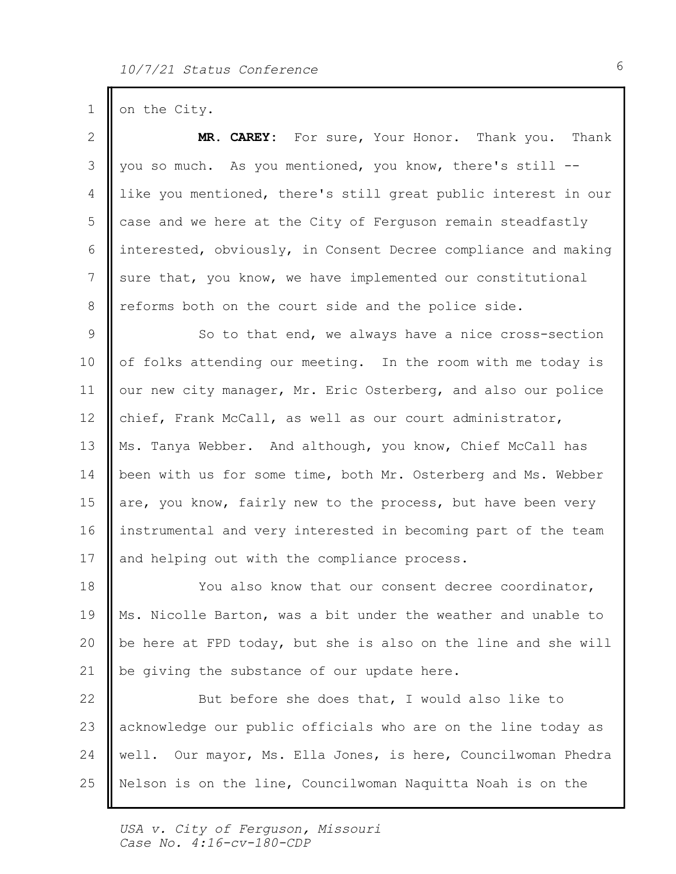1 on the City.

| 2               | MR. CAREY: For sure, Your Honor. Thank you.<br>Thank           |  |
|-----------------|----------------------------------------------------------------|--|
| 3               | you so much. As you mentioned, you know, there's still --      |  |
| 4               | like you mentioned, there's still great public interest in our |  |
| 5               | case and we here at the City of Ferguson remain steadfastly    |  |
| 6               | interested, obviously, in Consent Decree compliance and making |  |
| $7\phantom{.0}$ | sure that, you know, we have implemented our constitutional    |  |
| 8               | reforms both on the court side and the police side.            |  |
| 9               | So to that end, we always have a nice cross-section            |  |
| 10              | of folks attending our meeting. In the room with me today is   |  |
| 11              | our new city manager, Mr. Eric Osterberg, and also our police  |  |
| 12              | chief, Frank McCall, as well as our court administrator,       |  |
| 13              | Ms. Tanya Webber. And although, you know, Chief McCall has     |  |
| 14              | been with us for some time, both Mr. Osterberg and Ms. Webber  |  |
| 15              | are, you know, fairly new to the process, but have been very   |  |
| 16              | instrumental and very interested in becoming part of the team  |  |
| 17              | and helping out with the compliance process.                   |  |
| 18              | You also know that our consent decree coordinator,             |  |
| 19              | Ms. Nicolle Barton, was a bit under the weather and unable to  |  |
| 20              | be here at FPD today, but she is also on the line and she will |  |
| 21              | be giving the substance of our update here.                    |  |
| 22              | But before she does that, I would also like to                 |  |
| 23              | acknowledge our public officials who are on the line today as  |  |
| 24              | well. Our mayor, Ms. Ella Jones, is here, Councilwoman Phedra  |  |
| 25              | Nelson is on the line, Councilwoman Naquitta Noah is on the    |  |
|                 |                                                                |  |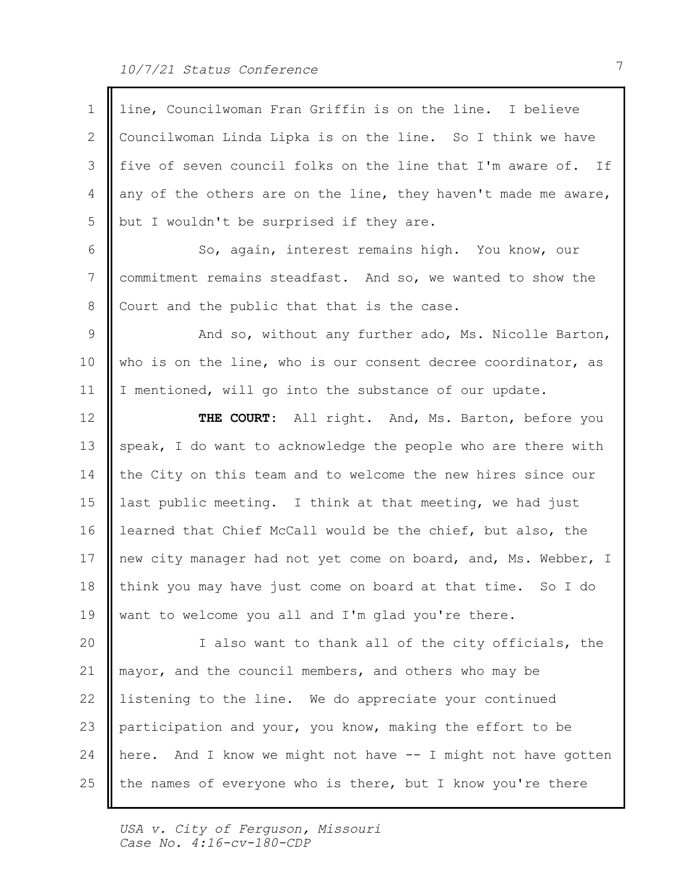| 1  | line, Councilwoman Fran Griffin is on the line. I believe      |
|----|----------------------------------------------------------------|
| 2  | Councilwoman Linda Lipka is on the line. So I think we have    |
| 3  | five of seven council folks on the line that I'm aware of. If  |
| 4  | any of the others are on the line, they haven't made me aware, |
| 5  | but I wouldn't be surprised if they are.                       |
| 6  | So, again, interest remains high. You know, our                |
| 7  | commitment remains steadfast. And so, we wanted to show the    |
| 8  | Court and the public that that is the case.                    |
| 9  | And so, without any further ado, Ms. Nicolle Barton,           |
| 10 | who is on the line, who is our consent decree coordinator, as  |
| 11 | I mentioned, will go into the substance of our update.         |
| 12 | THE COURT: All right. And, Ms. Barton, before you              |
| 13 | speak, I do want to acknowledge the people who are there with  |
| 14 | the City on this team and to welcome the new hires since our   |
| 15 | last public meeting. I think at that meeting, we had just      |
| 16 | learned that Chief McCall would be the chief, but also, the    |
| 17 | new city manager had not yet come on board, and, Ms. Webber, I |
| 18 | think you may have just come on board at that time. So I do    |
| 19 | want to welcome you all and I'm glad you're there.             |
| 20 | I also want to thank all of the city officials, the            |
| 21 | mayor, and the council members, and others who may be          |
| 22 | listening to the line. We do appreciate your continued         |
| 23 | participation and your, you know, making the effort to be      |
| 24 | here. And I know we might not have -- I might not have gotten  |
| 25 | the names of everyone who is there, but I know you're there    |
|    |                                                                |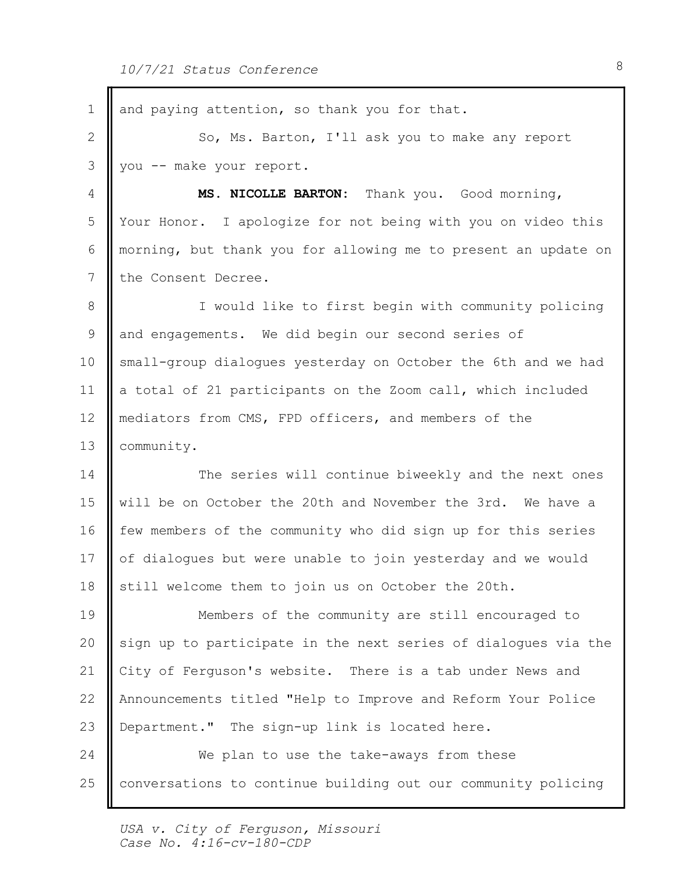| 1                 | and paying attention, so thank you for that.                   |
|-------------------|----------------------------------------------------------------|
| 2                 | So, Ms. Barton, I'll ask you to make any report                |
| 3                 | you -- make your report.                                       |
| 4                 | MS. NICOLLE BARTON: Thank you. Good morning,                   |
| 5                 | Your Honor. I apologize for not being with you on video this   |
| 6                 | morning, but thank you for allowing me to present an update on |
| 7                 | the Consent Decree.                                            |
| 8                 | I would like to first begin with community policing            |
| 9                 | and engagements. We did begin our second series of             |
| 10                | small-group dialogues yesterday on October the 6th and we had  |
| 11                | a total of 21 participants on the Zoom call, which included    |
| $12 \overline{ }$ | mediators from CMS, FPD officers, and members of the           |
| 13                | community.                                                     |
| 14                | The series will continue biweekly and the next ones            |
| 15                | will be on October the 20th and November the 3rd. We have a    |
| 16                | few members of the community who did sign up for this series   |
| 17                | of dialogues but were unable to join yesterday and we would    |
| 18                | still welcome them to join us on October the 20th.             |
| 19                | Members of the community are still encouraged to               |
| 20                | sign up to participate in the next series of dialogues via the |
| 21                | City of Ferguson's website. There is a tab under News and      |
| 22                | Announcements titled "Help to Improve and Reform Your Police   |
| 23                | Department." The sign-up link is located here.                 |
| 24                | We plan to use the take-aways from these                       |
| 25                | conversations to continue building out our community policing  |
|                   |                                                                |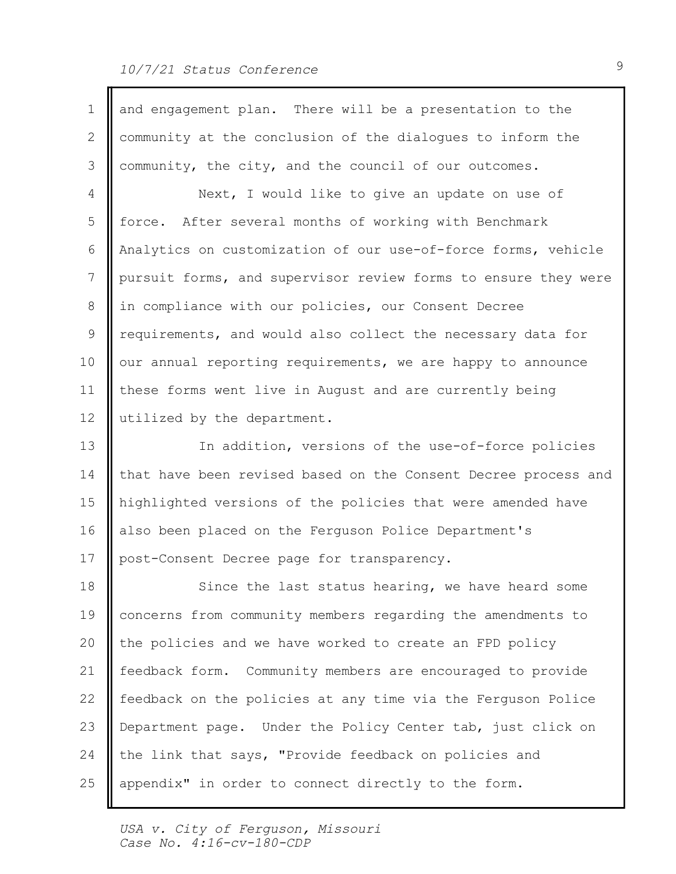## 10/7/21 Status Conference 9

| $\mathbf 1$ | and engagement plan. There will be a presentation to the       |  |
|-------------|----------------------------------------------------------------|--|
| 2           | community at the conclusion of the dialoques to inform the     |  |
| 3           | community, the city, and the council of our outcomes.          |  |
| 4           | Next, I would like to give an update on use of                 |  |
| 5           | force. After several months of working with Benchmark          |  |
| 6           | Analytics on customization of our use-of-force forms, vehicle  |  |
| 7           | pursuit forms, and supervisor review forms to ensure they were |  |
| 8           | in compliance with our policies, our Consent Decree            |  |
| 9           | requirements, and would also collect the necessary data for    |  |
| 10          | our annual reporting requirements, we are happy to announce    |  |
| 11          | these forms went live in August and are currently being        |  |
| 12          | utilized by the department.                                    |  |
| 13          | In addition, versions of the use-of-force policies             |  |
| 14          | that have been revised based on the Consent Decree process and |  |
| 15          | highlighted versions of the policies that were amended have    |  |
| 16          | also been placed on the Ferguson Police Department's           |  |
| 17          | post-Consent Decree page for transparency.                     |  |
| 18          | Since the last status hearing, we have heard some              |  |
| 19          | concerns from community members regarding the amendments to    |  |
| 20          | the policies and we have worked to create an FPD policy        |  |
| 21          | feedback form. Community members are encouraged to provide     |  |
| 22          | feedback on the policies at any time via the Ferguson Police   |  |
| 23          | Department page. Under the Policy Center tab, just click on    |  |
| 24          | the link that says, "Provide feedback on policies and          |  |
| 25          | appendix" in order to connect directly to the form.            |  |
|             |                                                                |  |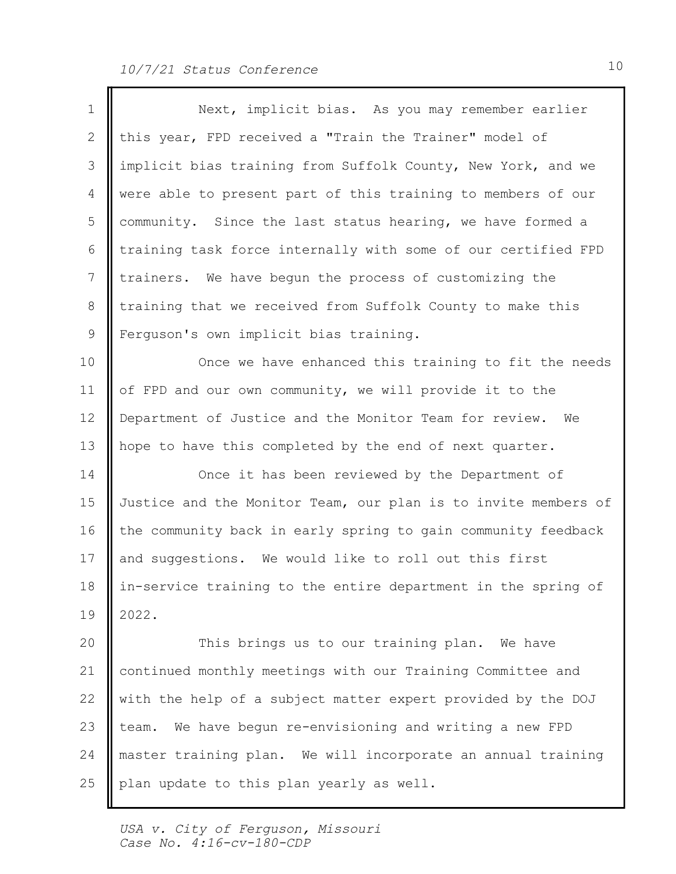| 1            | Next, implicit bias. As you may remember earlier               |
|--------------|----------------------------------------------------------------|
| $\mathbf{2}$ | this year, FPD received a "Train the Trainer" model of         |
| 3            | implicit bias training from Suffolk County, New York, and we   |
| 4            | were able to present part of this training to members of our   |
| 5            | community. Since the last status hearing, we have formed a     |
| 6            | training task force internally with some of our certified FPD  |
| 7            | trainers. We have begun the process of customizing the         |
| 8            | training that we received from Suffolk County to make this     |
| 9            | Ferguson's own implicit bias training.                         |
| 10           | Once we have enhanced this training to fit the needs           |
| 11           | of FPD and our own community, we will provide it to the        |
| 12           | Department of Justice and the Monitor Team for review. We      |
| 13           | hope to have this completed by the end of next quarter.        |
| 14           | Once it has been reviewed by the Department of                 |
| 15           | Justice and the Monitor Team, our plan is to invite members of |
| 16           | the community back in early spring to gain community feedback  |
| 17           | and suggestions. We would like to roll out this first          |
| 18           | in-service training to the entire department in the spring of  |
| 19           | 2022.                                                          |
| 20           | This brings us to our training plan.<br>We have                |
| 21           | continued monthly meetings with our Training Committee and     |
| 22           | with the help of a subject matter expert provided by the DOJ   |
| 23           | team. We have begun re-envisioning and writing a new FPD       |
| 24           | master training plan. We will incorporate an annual training   |
| 25           | plan update to this plan yearly as well.                       |
|              |                                                                |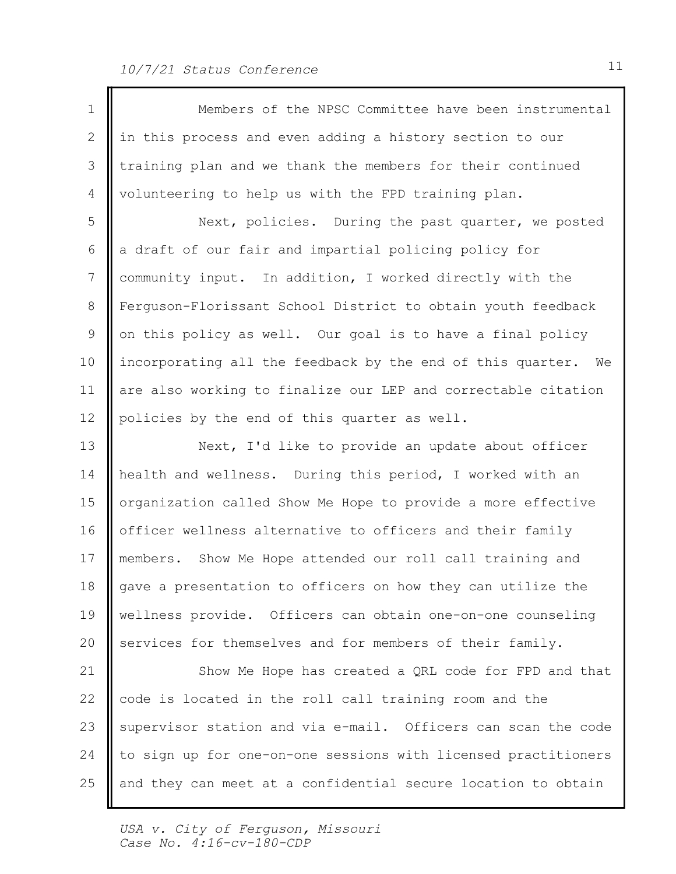| 1               | Members of the NPSC Committee have been instrumental           |
|-----------------|----------------------------------------------------------------|
| $\mathbf{2}$    | in this process and even adding a history section to our       |
| 3               | training plan and we thank the members for their continued     |
| 4               | volunteering to help us with the FPD training plan.            |
| 5               | Next, policies. During the past quarter, we posted             |
| 6               | a draft of our fair and impartial policing policy for          |
| 7               | community input. In addition, I worked directly with the       |
| 8               | Ferguson-Florissant School District to obtain youth feedback   |
| 9               | on this policy as well. Our goal is to have a final policy     |
| 10              | incorporating all the feedback by the end of this quarter. We  |
| 11              | are also working to finalize our LEP and correctable citation  |
| 12 <sup>°</sup> | policies by the end of this quarter as well.                   |
| 13              | Next, I'd like to provide an update about officer              |
| 14              | health and wellness. During this period, I worked with an      |
| 15              | organization called Show Me Hope to provide a more effective   |
| 16              | officer wellness alternative to officers and their family      |
| 17              | members. Show Me Hope attended our roll call training and      |
| 18              | gave a presentation to officers on how they can utilize the    |
| 19              | wellness provide. Officers can obtain one-on-one counseling    |
| 20              | services for themselves and for members of their family.       |
| 21              | Show Me Hope has created a QRL code for FPD and that           |
| 22              | code is located in the roll call training room and the         |
| 23              | supervisor station and via e-mail. Officers can scan the code  |
| 24              | to sign up for one-on-one sessions with licensed practitioners |
| 25              | and they can meet at a confidential secure location to obtain  |

Ш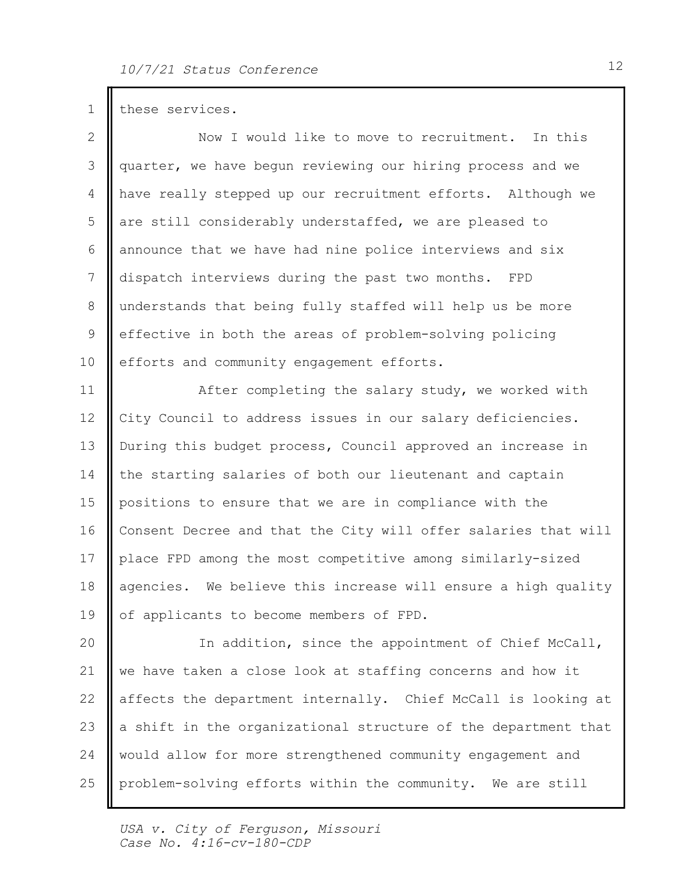1 these services. 2 || Now I would like to move to recruitment. In this 3 || quarter, we have begun reviewing our hiring process and we 4 | have really stepped up our recruitment efforts. Although we 5 are still considerably understaffed, we are pleased to 6 announce that we have had nine police interviews and six 7 dispatch interviews during the past two months. FPD 8 || understands that being fully staffed will help us be more 9 || effective in both the areas of problem-solving policing 10 | efforts and community engagement efforts. 11 | After completing the salary study, we worked with 12 || City Council to address issues in our salary deficiencies. 13 || During this budget process, Council approved an increase in 14 | the starting salaries of both our lieutenant and captain 15 || positions to ensure that we are in compliance with the 16 Consent Decree and that the City will offer salaries that will | 17 || place FPD among the most competitive among similarly-sized 18 || agencies. We believe this increase will ensure a high quality | 19 || of applicants to become members of FPD. 20 || In addition, since the appointment of Chief McCall, | 21  $\parallel$  we have taken a close look at staffing concerns and how it 22 || affects the department internally. Chief McCall is looking at | 23  $\parallel$  a shift in the organizational structure of the department that  $\parallel$ 

- 24 | would allow for more strengthened community engagement and
- problem-solving efforts within the community. We are still 25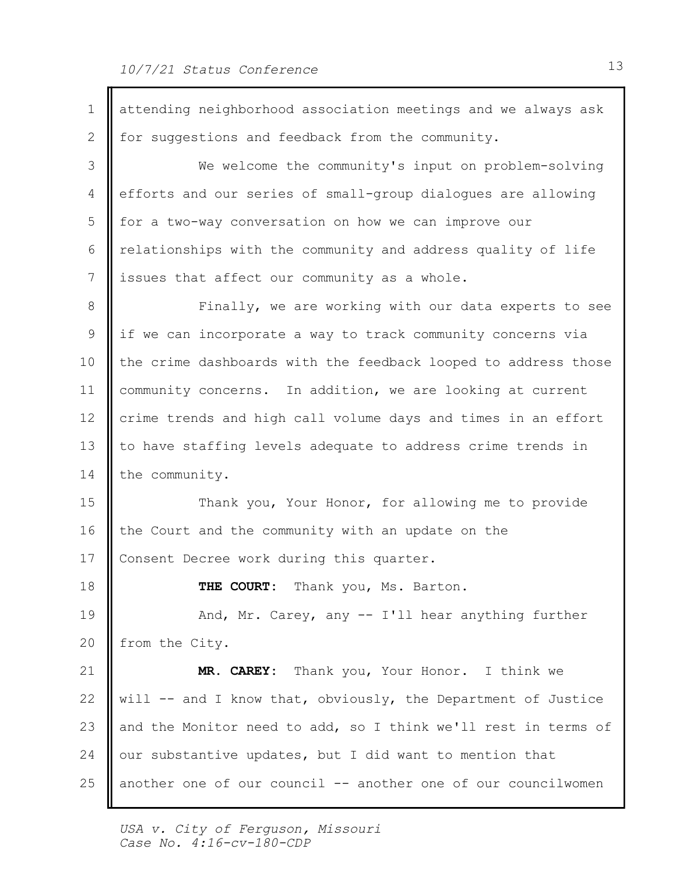1 | attending neighborhood association meetings and we always ask 2 | for suggestions and feedback from the community. 3 || We welcome the community's input on problem-solving | 4 efforts and our series of small-group dialogues are allowing 5 || for a two-way conversation on how we can improve our 6 || relationships with the community and address quality of life 7 issues that affect our community as a whole. 8 || Finally, we are working with our data experts to see | 9 || if we can incorporate a way to track community concerns via 10 | the crime dashboards with the feedback looped to address those | 11 | community concerns. In addition, we are looking at current 12 || crime trends and high call volume days and times in an effort | 13 || to have staffing levels adequate to address crime trends in 14 the community. 15 || Thank you, Your Honor, for allowing me to provide 16 | the Court and the community with an update on the 17 | Consent Decree work during this quarter. Thank you, Ms. Barton. 19 || And, Mr. Carey, any -- I'll hear anything further 20 | from the City. Thank you, Your Honor. I think we 22 || will -- and I know that, obviously, the Department of Justice 23  $\parallel$  and the Monitor need to add, so I think we'll rest in terms of  $\parallel$ 24  $\parallel$  our substantive updates, but I did want to mention that another one of our council -- another one of our councilwomen 18 **I** THE COURT: 21 | MR. CAREY: 25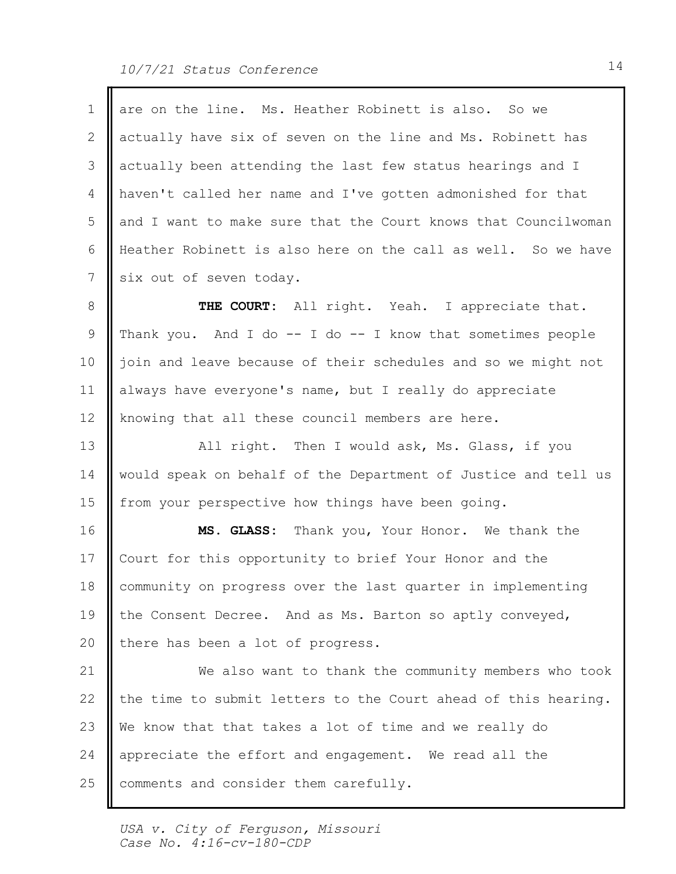| 1  | are on the line. Ms. Heather Robinett is also. So we           |
|----|----------------------------------------------------------------|
| 2  | actually have six of seven on the line and Ms. Robinett has    |
| 3  | actually been attending the last few status hearings and I     |
| 4  | haven't called her name and I've gotten admonished for that    |
| 5  | and I want to make sure that the Court knows that Councilwoman |
| 6  | Heather Robinett is also here on the call as well. So we have  |
| 7  | six out of seven today.                                        |
| 8  | THE COURT: All right. Yeah. I appreciate that.                 |
| 9  | Thank you. And I do $-$ I do $-$ I know that sometimes people  |
| 10 | join and leave because of their schedules and so we might not  |
| 11 | always have everyone's name, but I really do appreciate        |
| 12 | knowing that all these council members are here.               |
| 13 | All right. Then I would ask, Ms. Glass, if you                 |
| 14 | would speak on behalf of the Department of Justice and tell us |
| 15 | from your perspective how things have been going.              |
| 16 | MS. GLASS: Thank you, Your Honor. We thank the                 |
| 17 | Court for this opportunity to brief Your Honor and the         |
| 18 | community on progress over the last quarter in implementing    |
| 19 | the Consent Decree. And as Ms. Barton so aptly conveyed,       |
| 20 | there has been a lot of progress.                              |
| 21 | We also want to thank the community members who took           |
| 22 | the time to submit letters to the Court ahead of this hearing. |
| 23 | We know that that takes a lot of time and we really do         |
| 24 | appreciate the effort and engagement. We read all the          |
| 25 | comments and consider them carefully.                          |
|    |                                                                |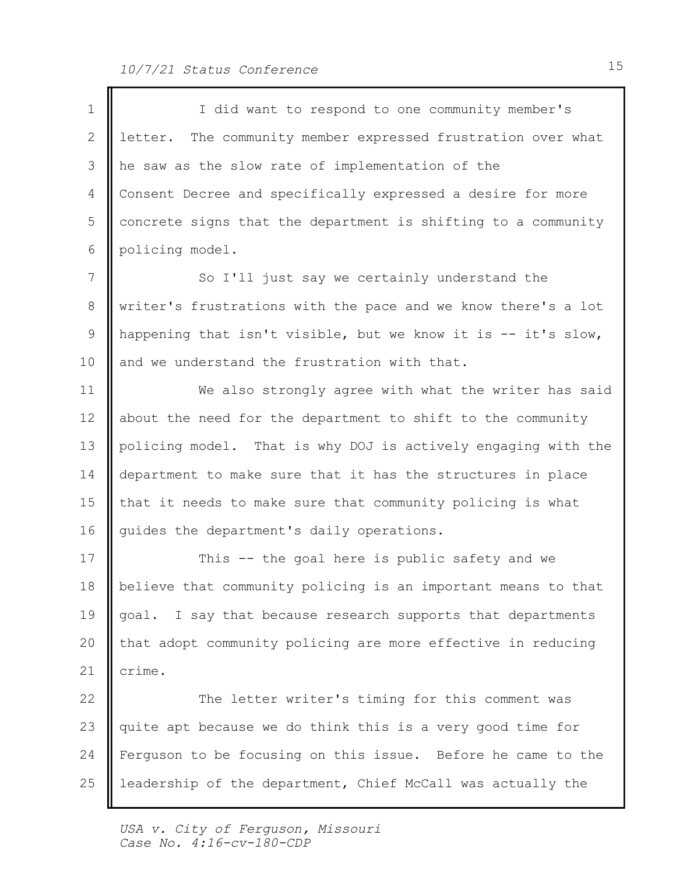$\blacksquare$ 

| $\mathbf 1$ | I did want to respond to one community member's                |  |
|-------------|----------------------------------------------------------------|--|
| 2           | letter. The community member expressed frustration over what   |  |
| 3           | he saw as the slow rate of implementation of the               |  |
| 4           | Consent Decree and specifically expressed a desire for more    |  |
| 5           | concrete signs that the department is shifting to a community  |  |
| 6           | policing model.                                                |  |
| 7           | So I'll just say we certainly understand the                   |  |
| 8           | writer's frustrations with the pace and we know there's a lot  |  |
| 9           | happening that isn't visible, but we know it is -- it's slow,  |  |
| 10          | and we understand the frustration with that.                   |  |
| 11          | We also strongly agree with what the writer has said           |  |
| 12          | about the need for the department to shift to the community    |  |
| 13          | policing model. That is why DOJ is actively engaging with the  |  |
| 14          | department to make sure that it has the structures in place    |  |
| 15          | that it needs to make sure that community policing is what     |  |
| 16          | guides the department's daily operations.                      |  |
| 17          | This -- the goal here is public safety and we                  |  |
| 18          | believe that community policing is an important means to that  |  |
| 19          | I say that because research supports that departments<br>goal. |  |
| 20          | that adopt community policing are more effective in reducing   |  |
| 21          | crime.                                                         |  |
| 22          | The letter writer's timing for this comment was                |  |
| 23          | quite apt because we do think this is a very good time for     |  |
| 24          | Ferguson to be focusing on this issue. Before he came to the   |  |
| 25          | leadership of the department, Chief McCall was actually the    |  |
|             |                                                                |  |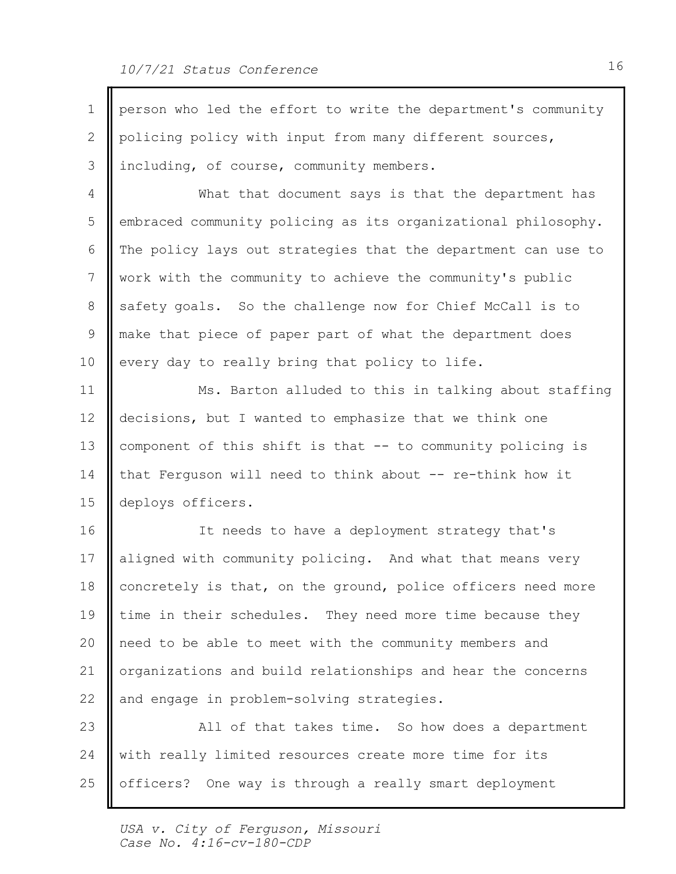| $\mathbf{1}$ | person who led the effort to write the department's community |  |
|--------------|---------------------------------------------------------------|--|
| 2            | policing policy with input from many different sources,       |  |
| 3            | including, of course, community members.                      |  |
| 4            | What that document says is that the department has            |  |
| 5            | embraced community policing as its organizational philosophy. |  |
| 6            | The policy lays out strategies that the department can use to |  |
| 7            | work with the community to achieve the community's public     |  |
| 8            | safety goals. So the challenge now for Chief McCall is to     |  |
| 9            | make that piece of paper part of what the department does     |  |
| 10           | every day to really bring that policy to life.                |  |
| 11           | Ms. Barton alluded to this in talking about staffing          |  |
| 12           | decisions, but I wanted to emphasize that we think one        |  |
| 13           | component of this shift is that -- to community policing is   |  |
| 14           | that Ferguson will need to think about -- re-think how it     |  |
| 15           | deploys officers.                                             |  |
| 16           | It needs to have a deployment strategy that's                 |  |
| 17           | aligned with community policing. And what that means very     |  |
| 18           | concretely is that, on the ground, police officers need more  |  |
| 19           | time in their schedules. They need more time because they     |  |
| 20           | need to be able to meet with the community members and        |  |
| 21           | organizations and build relationships and hear the concerns   |  |
| 22           | and engage in problem-solving strategies.                     |  |
| 23           | All of that takes time. So how does a department              |  |
| 24           | with really limited resources create more time for its        |  |
| 25           | officers? One way is through a really smart deployment        |  |
|              |                                                               |  |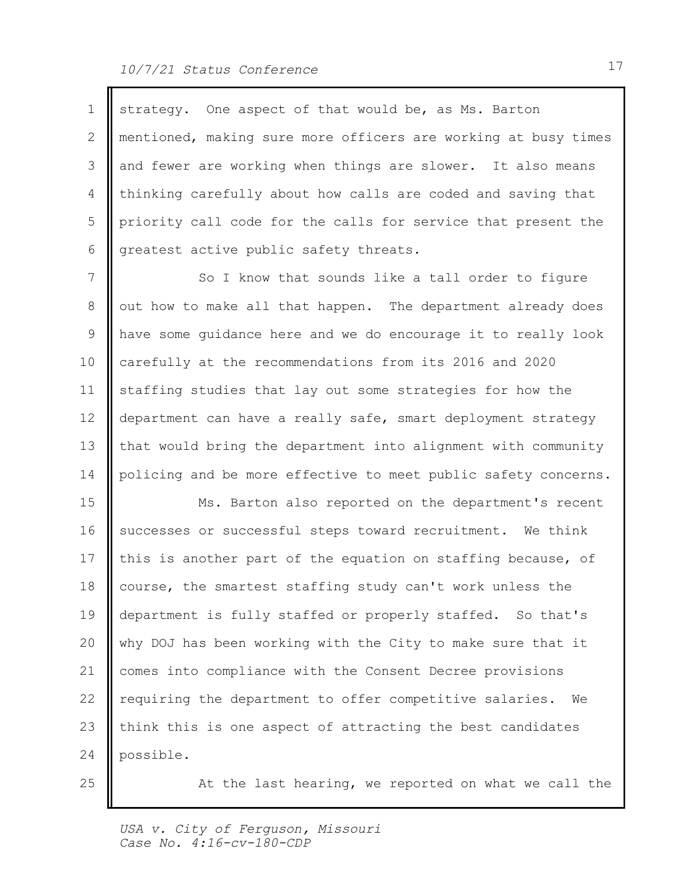$\mathbb{F}$ 

| $\mathbf{1}$    | strategy. One aspect of that would be, as Ms. Barton           |  |
|-----------------|----------------------------------------------------------------|--|
| 2               | mentioned, making sure more officers are working at busy times |  |
| 3               | and fewer are working when things are slower. It also means    |  |
| 4               | thinking carefully about how calls are coded and saving that   |  |
| 5               | priority call code for the calls for service that present the  |  |
| 6               | greatest active public safety threats.                         |  |
| 7               | So I know that sounds like a tall order to figure              |  |
| 8               | out how to make all that happen. The department already does   |  |
| 9               | have some quidance here and we do encourage it to really look  |  |
| 10              | carefully at the recommendations from its 2016 and 2020        |  |
| 11              | staffing studies that lay out some strategies for how the      |  |
| 12 <sup>°</sup> | department can have a really safe, smart deployment strategy   |  |
| 13              | that would bring the department into alignment with community  |  |
| 14              | policing and be more effective to meet public safety concerns. |  |
| 15              | Ms. Barton also reported on the department's recent            |  |
| 16              | successes or successful steps toward recruitment. We think     |  |
| 17              | this is another part of the equation on staffing because, of   |  |
| 18              | course, the smartest staffing study can't work unless the      |  |
| 19              | department is fully staffed or properly staffed. So that's     |  |
| 20              | why DOJ has been working with the City to make sure that it    |  |
| 21              | comes into compliance with the Consent Decree provisions       |  |
| 22              | requiring the department to offer competitive salaries.<br>We  |  |
| 23              | think this is one aspect of attracting the best candidates     |  |
| 24              | possible.                                                      |  |
| 25              | At the last hearing, we reported on what we call the           |  |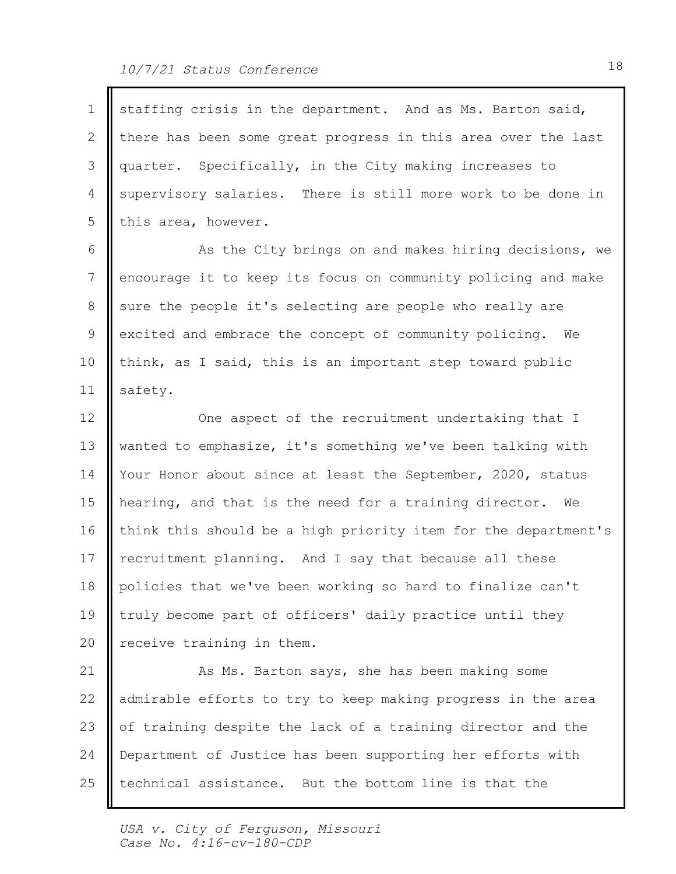| 1  | staffing crisis in the department. And as Ms. Barton said,     |
|----|----------------------------------------------------------------|
| 2  | there has been some great progress in this area over the last  |
| 3  | quarter. Specifically, in the City making increases to         |
| 4  | supervisory salaries. There is still more work to be done in   |
| 5  | this area, however.                                            |
| 6  | As the City brings on and makes hiring decisions, we           |
| 7  | encourage it to keep its focus on community policing and make  |
| 8  | sure the people it's selecting are people who really are       |
| 9  | excited and embrace the concept of community policing. We      |
| 10 | think, as I said, this is an important step toward public      |
| 11 | safety.                                                        |
| 12 | One aspect of the recruitment undertaking that I               |
| 13 | wanted to emphasize, it's something we've been talking with    |
| 14 | Your Honor about since at least the September, 2020, status    |
| 15 | hearing, and that is the need for a training director. We      |
| 16 | think this should be a high priority item for the department's |
| 17 | recruitment planning. And I say that because all these         |
| 18 | policies that we've been working so hard to finalize can't     |
| 19 | truly become part of officers' daily practice until they       |
| 20 | receive training in them.                                      |
| 21 | As Ms. Barton says, she has been making some                   |
| 22 | admirable efforts to try to keep making progress in the area   |
| 23 | of training despite the lack of a training director and the    |
| 24 | Department of Justice has been supporting her efforts with     |
| 25 | technical assistance. But the bottom line is that the          |
|    |                                                                |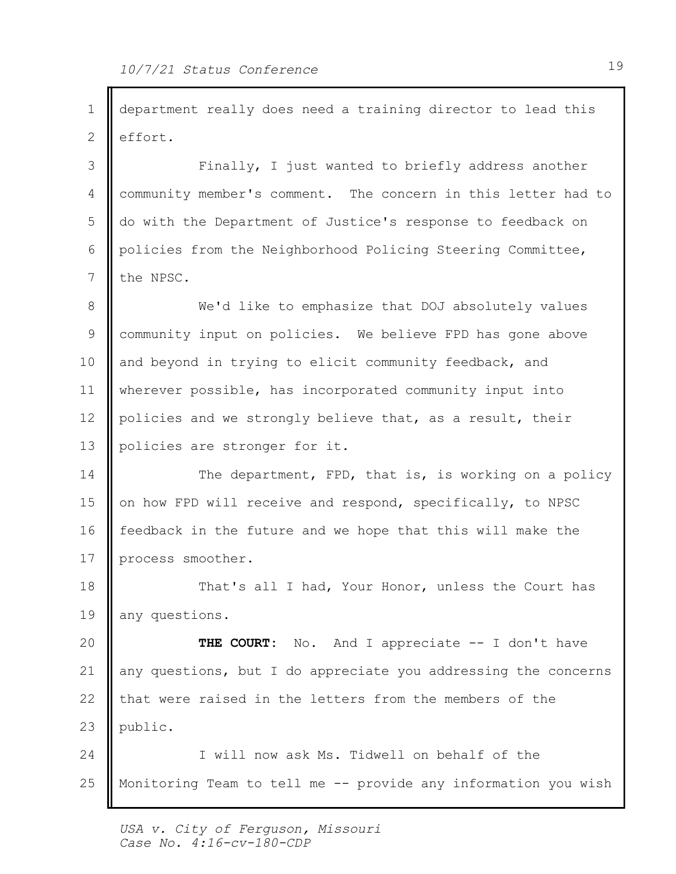1 || department really does need a training director to lead this 2 effort. 3 || Finally, I just wanted to briefly address another | 4 | community member's comment. The concern in this letter had to 5 || do with the Department of Justice's response to feedback on 6 || policies from the Neighborhood Policing Steering Committee, 7 the NPSC. We'd like to emphasize that DOJ absolutely values 8 9 || community input on policies. We believe FPD has gone above 10 and beyond in trying to elicit community feedback, and 11 | wherever possible, has incorporated community input into 12 | policies and we strongly believe that, as a result, their 13 || policies are stronger for it. 14 | The department, FPD, that is, is working on a policy | 15 || on how FPD will receive and respond, specifically, to NPSC 16 | feedback in the future and we hope that this will make the 17 process smoother. 18 || That's all I had, Your Honor, unless the Court has 19 || any questions. No. And I appreciate  $-$  I don't have 21 | any questions, but I do appreciate you addressing the concerns | 22 || that were raised in the letters from the members of the 23 public. 24 | I will now ask Ms. Tidwell on behalf of the Monitoring Team to tell me -- provide any information you wish 20 **II THE COURT:** 25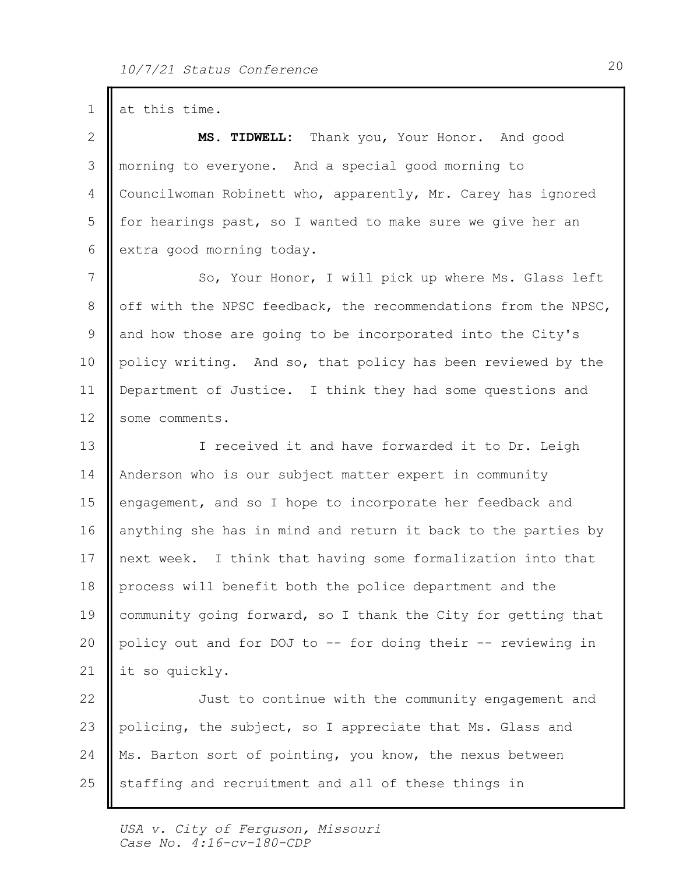$1$  at this time.

Thank you, Your Honor. And good 3 || morning to everyone. And a special good morning to 4 Councilwoman Robinett who, apparently, Mr. Carey has ignored 5 | for hearings past, so I wanted to make sure we give her an 6 extra good morning today. 2 || MS. TIDWELL:

So, Your Honor, I will pick up where Ms. Glass left 7 8 || off with the NPSC feedback, the recommendations from the NPSC, | 9 and how those are going to be incorporated into the City's 10 || policy writing. And so, that policy has been reviewed by the 11 | Department of Justice. I think they had some questions and 12 | some comments.

13 || I received it and have forwarded it to Dr. Leigh 14 | Anderson who is our subject matter expert in community 15 | engagement, and so I hope to incorporate her feedback and 16 anything she has in mind and return it back to the parties by 17 || next week. I think that having some formalization into that 18 | process will benefit both the police department and the 19 | community going forward, so I thank the City for getting that 20 || policy out and for DOJ to -- for doing their -- reviewing in 21 | it so quickly.

22 || Just to continue with the community engagement and 23 || policing, the subject, so I appreciate that Ms. Glass and 24 || Ms. Barton sort of pointing, you know, the nexus between staffing and recruitment and all of these things in 25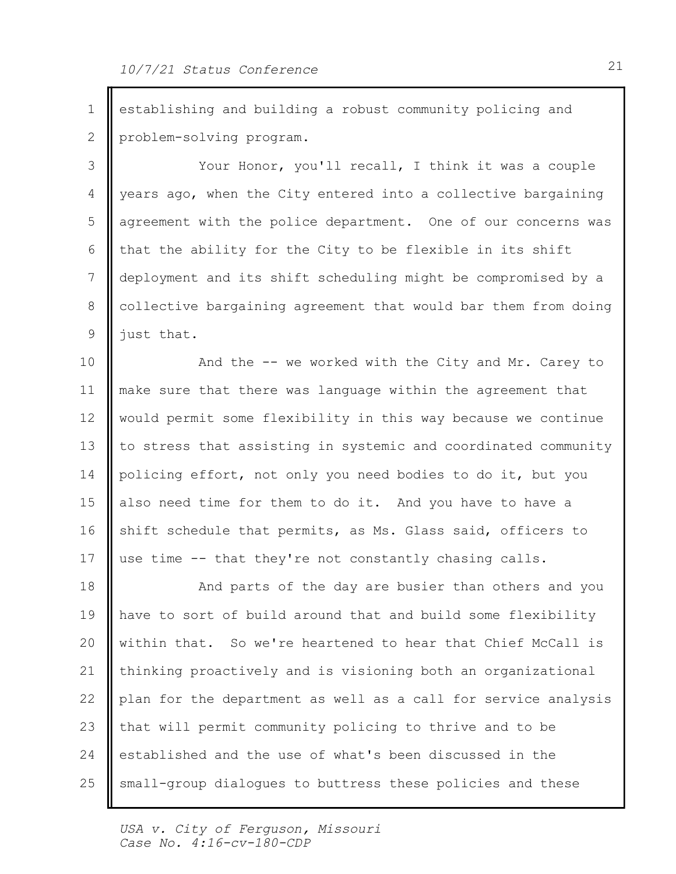1 establishing and building a robust community policing and 2 problem-solving program.

3 || Your Honor, you'll recall, I think it was a couple | 4 | years ago, when the City entered into a collective bargaining 5 || agreement with the police department. One of our concerns was |  $\mid$  that the ability for the City to be flexible in its shift  $\mid$ 7 || deployment and its shift scheduling might be compromised by a 8 | collective bargaining agreement that would bar them from doing |  $9$  || just that.

10 || And the -- we worked with the City and Mr. Carey to | 11 || make sure that there was language within the agreement that 12 | would permit some flexibility in this way because we continue 13 || to stress that assisting in systemic and coordinated community | 14 || policing effort, not only you need bodies to do it, but you 15 also need time for them to do it. And you have to have a 16 || shift schedule that permits, as Ms. Glass said, officers to 17 || use time -- that they're not constantly chasing calls.

18 || And parts of the day are busier than others and you 19 || have to sort of build around that and build some flexibility | 20 || within that. So we're heartened to hear that Chief McCall is 21 || thinking proactively and is visioning both an organizational 22 || plan for the department as well as a call for service analysis | 23 || that will permit community policing to thrive and to be 24 established and the use of what's been discussed in the small-group dialogues to buttress these policies and these 25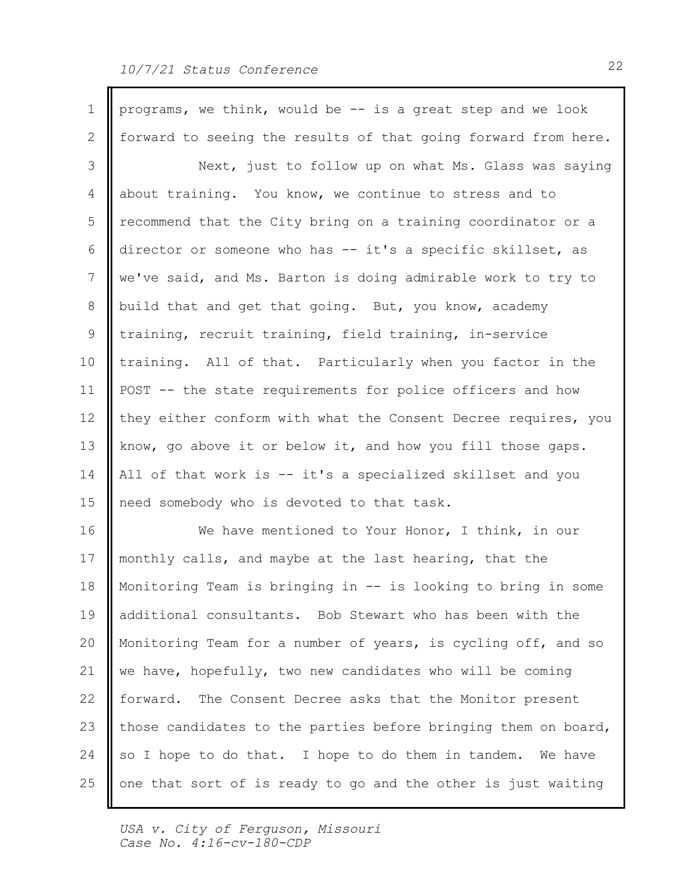## 10/7/21 Status Conference 22

| $\mathbf 1$  |                                                                |  |
|--------------|----------------------------------------------------------------|--|
|              | programs, we think, would be -- is a great step and we look    |  |
| $\mathbf{2}$ | forward to seeing the results of that going forward from here. |  |
| 3            | Next, just to follow up on what Ms. Glass was saying           |  |
| 4            | about training. You know, we continue to stress and to         |  |
| 5            | recommend that the City bring on a training coordinator or a   |  |
| 6            | director or someone who has -- it's a specific skillset, as    |  |
| 7            | we've said, and Ms. Barton is doing admirable work to try to   |  |
| 8            | build that and get that going. But, you know, academy          |  |
| 9            | training, recruit training, field training, in-service         |  |
| 10           | training. All of that. Particularly when you factor in the     |  |
| 11           | POST -- the state requirements for police officers and how     |  |
| 12           | they either conform with what the Consent Decree requires, you |  |
| 13           | know, go above it or below it, and how you fill those gaps.    |  |
| 14           | All of that work is -- it's a specialized skillset and you     |  |
| 15           | need somebody who is devoted to that task.                     |  |
| 16           | We have mentioned to Your Honor, I think, in our               |  |
| 17           | monthly calls, and maybe at the last hearing, that the         |  |
| 18           | Monitoring Team is bringing in -- is looking to bring in some  |  |
| 19           | additional consultants. Bob Stewart who has been with the      |  |
| 20           | Monitoring Team for a number of years, is cycling off, and so  |  |
| 21           | we have, hopefully, two new candidates who will be coming      |  |
| 22           | forward. The Consent Decree asks that the Monitor present      |  |
| 23           | those candidates to the parties before bringing them on board, |  |
| 24           | so I hope to do that. I hope to do them in tandem. We have     |  |
| 25           | one that sort of is ready to go and the other is just waiting  |  |
|              |                                                                |  |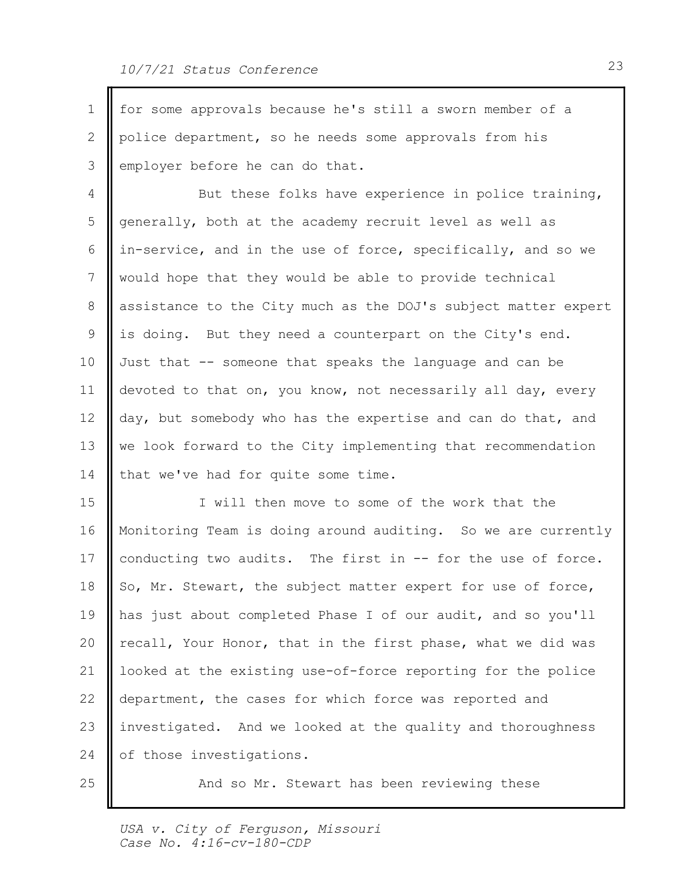1 || for some approvals because he's still a sworn member of a 2 || police department, so he needs some approvals from his 3 employer before he can do that. 4 **||** But these folks have experience in police training, | 5 generally, both at the academy recruit level as well as 6 | in-service, and in the use of force, specifically, and so we 7 || would hope that they would be able to provide technical 8 assistance to the City much as the DOJ's subject matter expert | 9 || is doing. But they need a counterpart on the City's end. 10 Just that -- someone that speaks the language and can be 11 | devoted to that on, you know, not necessarily all day, every 12  $\parallel$  day, but somebody who has the expertise and can do that, and 13 || we look forward to the City implementing that recommendation 14 | that we've had for quite some time. 15 || I will then move to some of the work that the Monitoring Team is doing around auditing. So we are currently 16 17 | conducting two audits. The first in -- for the use of force. 18  $\parallel$  So, Mr. Stewart, the subject matter expert for use of force, 19 || has just about completed Phase I of our audit, and so you'll | 20 || recall, Your Honor, that in the first phase, what we did was 21 | looked at the existing use-of-force reporting for the police | 22 || department, the cases for which force was reported and 23 || investigated. And we looked at the quality and thoroughness 24 | of those investigations. 25

And so Mr. Stewart has been reviewing these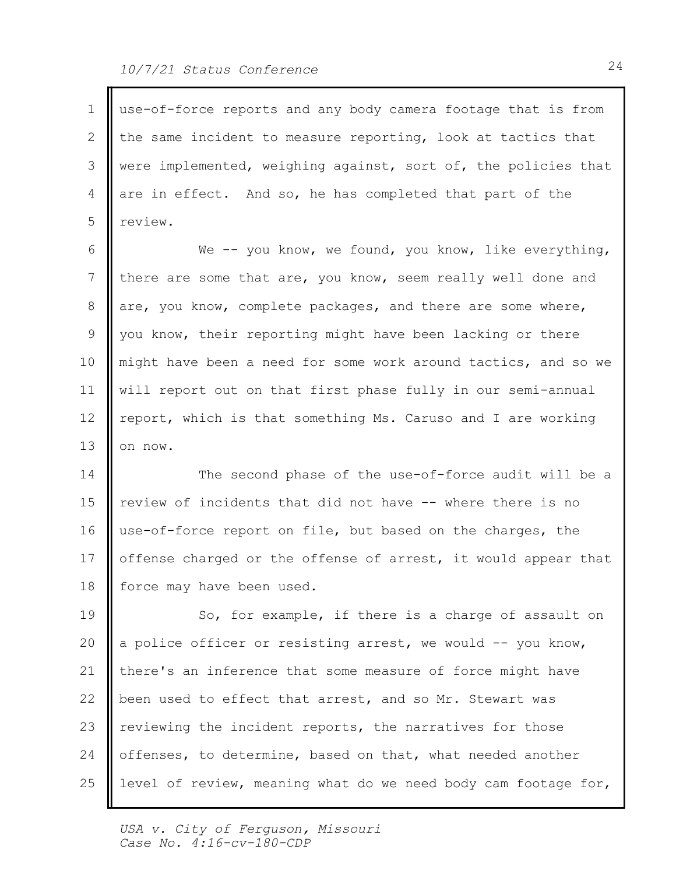| 1  | use-of-force reports and any body camera footage that is from  |  |
|----|----------------------------------------------------------------|--|
| 2  | the same incident to measure reporting, look at tactics that   |  |
| 3  | were implemented, weighing against, sort of, the policies that |  |
| 4  | are in effect. And so, he has completed that part of the       |  |
| 5  | review.                                                        |  |
| 6  | We $-$ you know, we found, you know, like everything,          |  |
| 7  | there are some that are, you know, seem really well done and   |  |
| 8  | are, you know, complete packages, and there are some where,    |  |
| 9  | you know, their reporting might have been lacking or there     |  |
| 10 | might have been a need for some work around tactics, and so we |  |
| 11 | will report out on that first phase fully in our semi-annual   |  |
| 12 | report, which is that something Ms. Caruso and I are working   |  |
| 13 | on now.                                                        |  |
| 14 | The second phase of the use-of-force audit will be a           |  |
| 15 | review of incidents that did not have -- where there is no     |  |
| 16 | use-of-force report on file, but based on the charges, the     |  |
| 17 | offense charged or the offense of arrest, it would appear that |  |
| 18 | force may have been used.                                      |  |
| 19 | So, for example, if there is a charge of assault on            |  |
| 20 | a police officer or resisting arrest, we would -- you know,    |  |
| 21 | there's an inference that some measure of force might have     |  |
| 22 | been used to effect that arrest, and so Mr. Stewart was        |  |
| 23 | reviewing the incident reports, the narratives for those       |  |
| 24 | offenses, to determine, based on that, what needed another     |  |
| 25 | level of review, meaning what do we need body cam footage for, |  |

 $\mathbb L$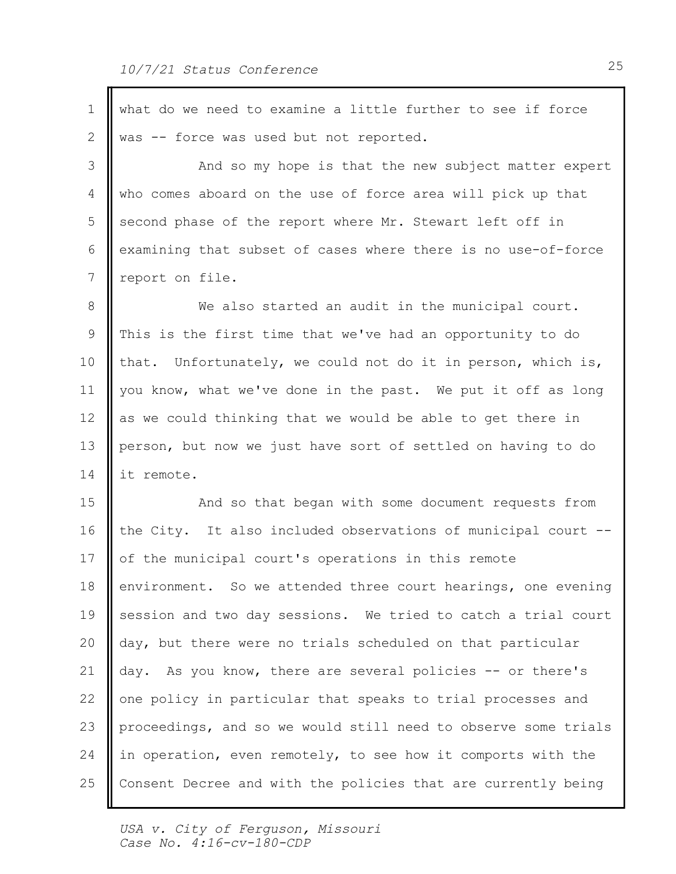| $\mathbf{1}$ | what do we need to examine a little further to see if force    |  |
|--------------|----------------------------------------------------------------|--|
| 2            | was -- force was used but not reported.                        |  |
| 3            | And so my hope is that the new subject matter expert           |  |
| 4            | who comes aboard on the use of force area will pick up that    |  |
| 5            | second phase of the report where Mr. Stewart left off in       |  |
| 6            | examining that subset of cases where there is no use-of-force  |  |
| 7            | report on file.                                                |  |
| 8            | We also started an audit in the municipal court.               |  |
| 9            | This is the first time that we've had an opportunity to do     |  |
| 10           | that. Unfortunately, we could not do it in person, which is,   |  |
| 11           | you know, what we've done in the past. We put it off as long   |  |
| 12           | as we could thinking that we would be able to get there in     |  |
| 13           | person, but now we just have sort of settled on having to do   |  |
| 14           | it remote.                                                     |  |
| 15           | And so that began with some document requests from             |  |
| 16           | the City. It also included observations of municipal court --  |  |
| 17           | of the municipal court's operations in this remote             |  |
| 18           | environment. So we attended three court hearings, one evening  |  |
| 19           | session and two day sessions. We tried to catch a trial court  |  |
| 20           | day, but there were no trials scheduled on that particular     |  |
| 21           | day. As you know, there are several policies -- or there's     |  |
| 22           | one policy in particular that speaks to trial processes and    |  |
| 23           | proceedings, and so we would still need to observe some trials |  |
| 24           | in operation, even remotely, to see how it comports with the   |  |
| 25           | Consent Decree and with the policies that are currently being  |  |
|              |                                                                |  |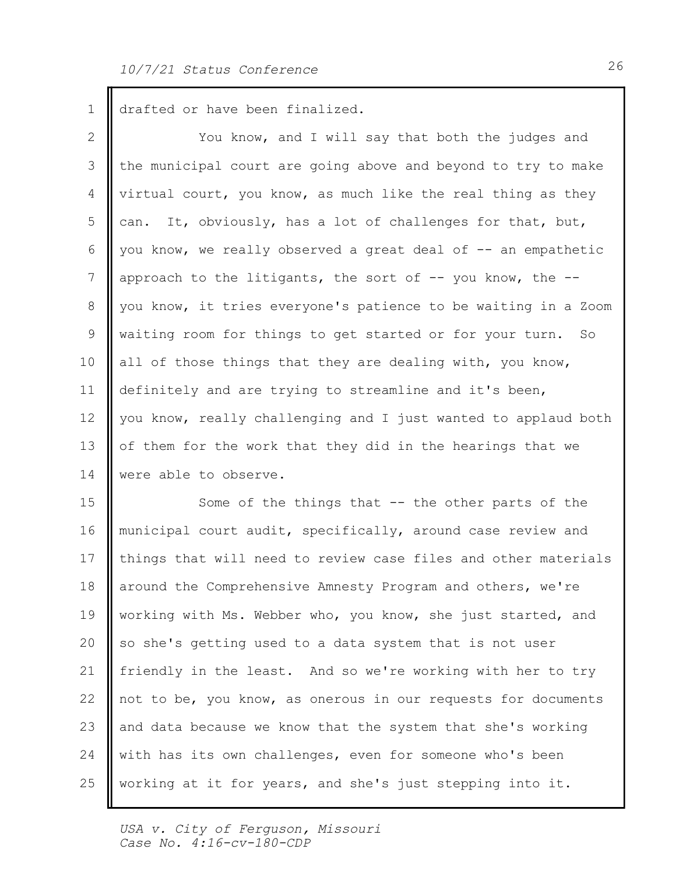1 drafted or have been finalized.

2 || You know, and I will say that both the judges and | 3 || the municipal court are going above and beyond to try to make | 4 | virtual court, you know, as much like the real thing as they  $\Box$  can. It, obviously, has a lot of challenges for that, but, 6 | you know, we really observed a great deal of  $-$  an empathetic  $\begin{array}{|l|} \hline \end{array}$  7 | approach to the litigants, the sort of -- you know, the --8 || you know, it tries everyone's patience to be waiting in a Zoom | 9 || waiting room for things to get started or for your turn. So 10 || all of those things that they are dealing with, you know, 11 | definitely and are trying to streamline and it's been, 12 || you know, really challenging and I just wanted to applaud both | 13 || of them for the work that they did in the hearings that we 14 | were able to observe.

15 || Some of the things that -- the other parts of the 16 | municipal court audit, specifically, around case review and 17 || things that will need to review case files and other materials | 18 | around the Comprehensive Amnesty Program and others, we're 19 || working with Ms. Webber who, you know, she just started, and 20 || so she's getting used to a data system that is not user 21 || friendly in the least. And so we're working with her to try 22 || not to be, you know, as onerous in our requests for documents 23 and data because we know that the system that she's working 24 | with has its own challenges, even for someone who's been working at it for years, and she's just stepping into it. 25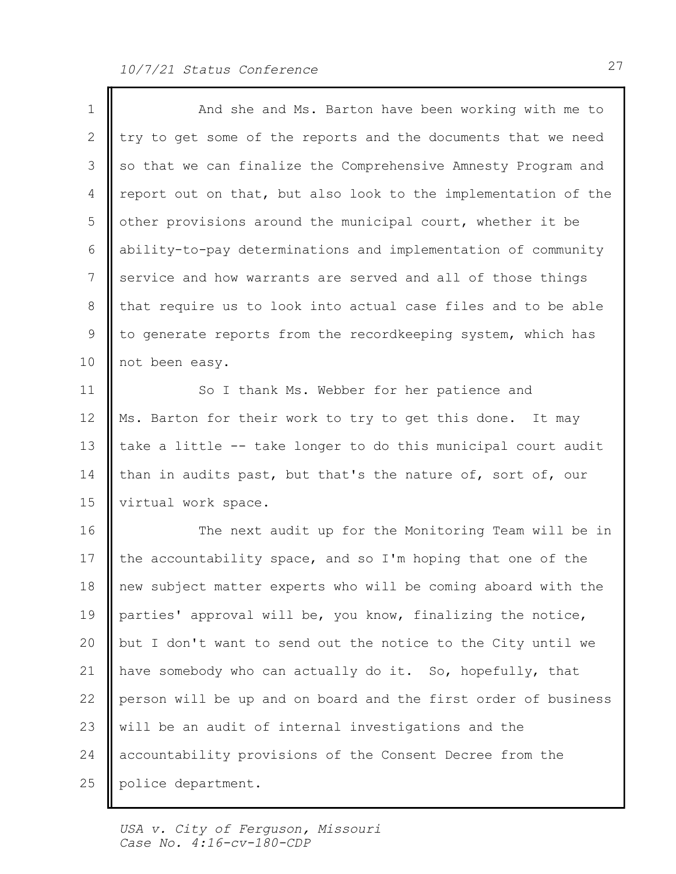| $\mathbf 1$     | And she and Ms. Barton have been working with me to            |
|-----------------|----------------------------------------------------------------|
| 2               | try to get some of the reports and the documents that we need  |
| 3               | so that we can finalize the Comprehensive Amnesty Program and  |
| 4               | report out on that, but also look to the implementation of the |
| 5               | other provisions around the municipal court, whether it be     |
| 6               | ability-to-pay determinations and implementation of community  |
| $7\phantom{.0}$ | service and how warrants are served and all of those things    |
| 8               | that require us to look into actual case files and to be able  |
| 9               | to generate reports from the recordkeeping system, which has   |
| 10              | not been easy.                                                 |
| 11              | So I thank Ms. Webber for her patience and                     |
| 12              | Ms. Barton for their work to try to get this done. It may      |
| 13              | take a little -- take longer to do this municipal court audit  |
| 14              | than in audits past, but that's the nature of, sort of, our    |
| 15              | virtual work space.                                            |
| 16              | The next audit up for the Monitoring Team will be in           |
| 17              | the accountability space, and so I'm hoping that one of the    |
| 18              | new subject matter experts who will be coming aboard with the  |
| 19              | parties' approval will be, you know, finalizing the notice,    |
| 20              | but I don't want to send out the notice to the City until we   |
| 21              | have somebody who can actually do it. So, hopefully, that      |
| 22              | person will be up and on board and the first order of business |
| 23              | will be an audit of internal investigations and the            |
| 24              | accountability provisions of the Consent Decree from the       |
| 25              | police department.                                             |
|                 |                                                                |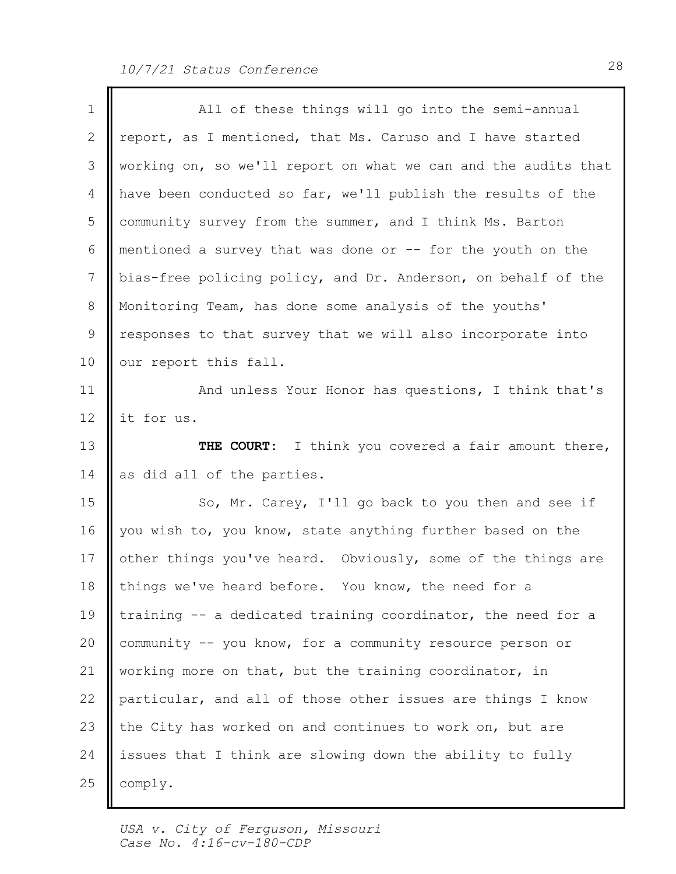| $\mathbf 1$ | All of these things will go into the semi-annual               |
|-------------|----------------------------------------------------------------|
| 2           | report, as I mentioned, that Ms. Caruso and I have started     |
| 3           | working on, so we'll report on what we can and the audits that |
| 4           | have been conducted so far, we'll publish the results of the   |
| 5           | community survey from the summer, and I think Ms. Barton       |
| 6           | mentioned a survey that was done or -- for the youth on the    |
| 7           | bias-free policing policy, and Dr. Anderson, on behalf of the  |
| 8           | Monitoring Team, has done some analysis of the youths'         |
| 9           | responses to that survey that we will also incorporate into    |
| 10          | our report this fall.                                          |
| 11          | And unless Your Honor has questions, I think that's            |
| 12          | it for us.                                                     |
| 13          | THE COURT: I think you covered a fair amount there,            |
| 14          | as did all of the parties.                                     |
| 15          | So, Mr. Carey, I'll go back to you then and see if             |
| 16          | you wish to, you know, state anything further based on the     |
| 17          | other things you've heard. Obviously, some of the things are   |
| 18          | things we've heard before. You know, the need for a            |
| 19          | training -- a dedicated training coordinator, the need for a   |
| 20          | community -- you know, for a community resource person or      |
| 21          | working more on that, but the training coordinator, in         |
| 22          | particular, and all of those other issues are things I know    |
| 23          | the City has worked on and continues to work on, but are       |
| 24          | issues that I think are slowing down the ability to fully      |
| 25          | comply.                                                        |
|             |                                                                |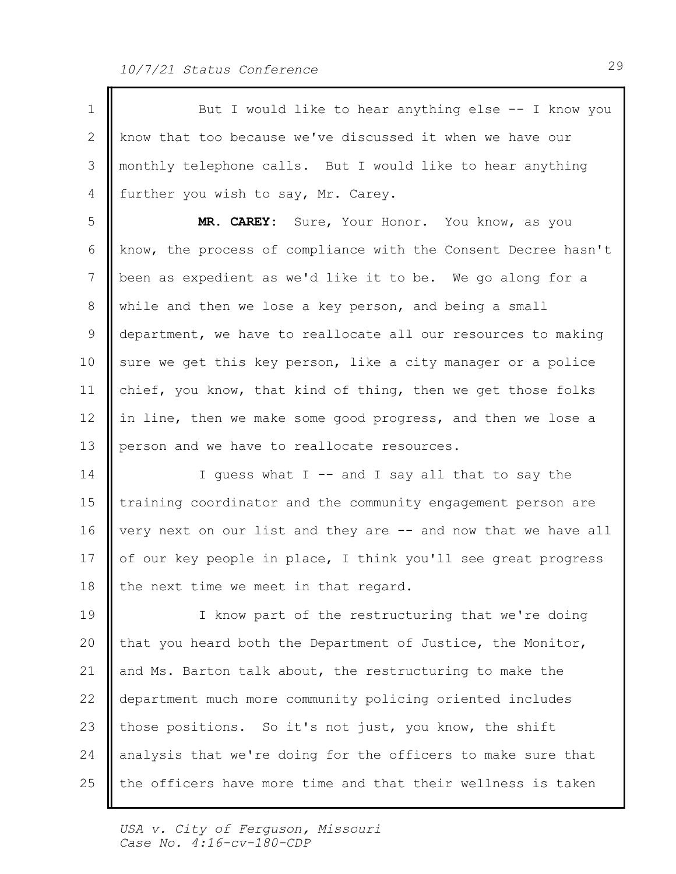1 || But I would like to hear anything else -- I know you 2 || know that too because we've discussed it when we have our 3 || monthly telephone calls. But I would like to hear anything 4 | further you wish to say, Mr. Carey. 5 || MR. CAREY: Sure, Your Honor. You know, as you 6 | know, the process of compliance with the Consent Decree hasn't | 7 || been as expedient as we'd like it to be. We go along for a 8 || while and then we lose a key person, and being a small 9 || department, we have to reallocate all our resources to making | 10 || sure we get this key person, like a city manager or a police 11 || chief, you know, that kind of thing, then we get those folks 12 | in line, then we make some good progress, and then we lose a 13 person and we have to reallocate resources. 14 || I guess what I -- and I say all that to say the | 15 | training coordinator and the community engagement person are 16 | very next on our list and they are  $-$  and now that we have all | 17 || of our key people in place, I think you'll see great progress 18 | the next time we meet in that regard. 19 || I know part of the restructuring that we're doing 20  $\parallel$  that you heard both the Department of Justice, the Monitor,  $\parallel$ 21 || and Ms. Barton talk about, the restructuring to make the 22 || department much more community policing oriented includes 23 || those positions. So it's not just, you know, the shift 24 analysis that we're doing for the officers to make sure that the officers have more time and that their wellness is taken 25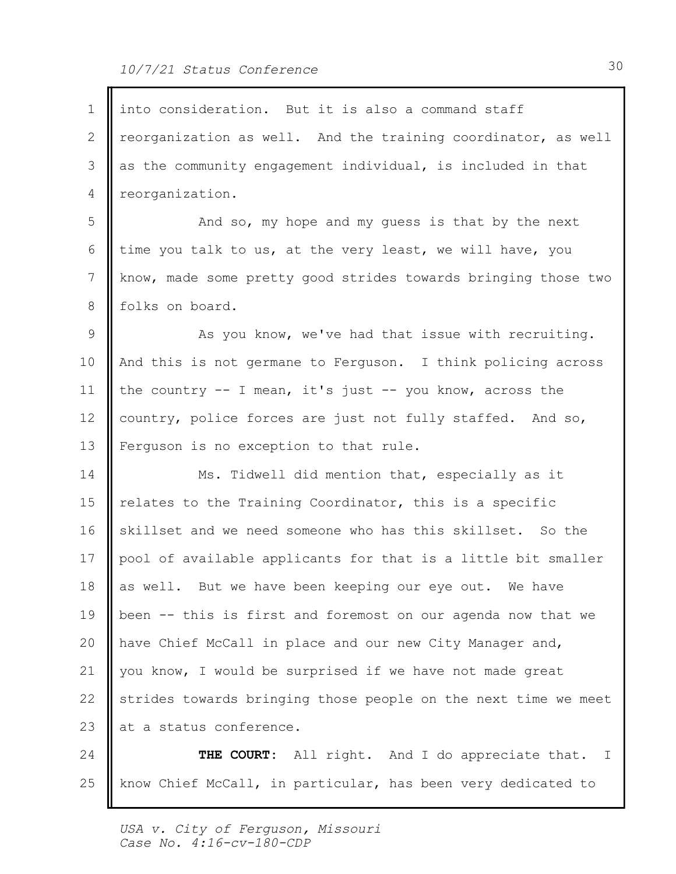| 1               | into consideration. But it is also a command staff             |  |
|-----------------|----------------------------------------------------------------|--|
| 2               | reorganization as well. And the training coordinator, as well  |  |
| 3               | as the community engagement individual, is included in that    |  |
| 4               | reorganization.                                                |  |
| 5               | And so, my hope and my guess is that by the next               |  |
| 6               | time you talk to us, at the very least, we will have, you      |  |
| $7\phantom{.0}$ | know, made some pretty good strides towards bringing those two |  |
| 8               | folks on board.                                                |  |
| 9               | As you know, we've had that issue with recruiting.             |  |
| 10              | And this is not germane to Ferguson. I think policing across   |  |
| 11              | the country $-$ I mean, it's just $-$ you know, across the     |  |
| 12              | country, police forces are just not fully staffed. And so,     |  |
| 13              | Ferguson is no exception to that rule.                         |  |
| 14              | Ms. Tidwell did mention that, especially as it                 |  |
| 15              | relates to the Training Coordinator, this is a specific        |  |
| 16              | skillset and we need someone who has this skillset. So the     |  |
| 17              | pool of available applicants for that is a little bit smaller  |  |
| 18              | as well. But we have been keeping our eye out. We have         |  |
| 19              | been -- this is first and foremost on our agenda now that we   |  |
| 20              | have Chief McCall in place and our new City Manager and,       |  |
| 21              | you know, I would be surprised if we have not made great       |  |
| 22              | strides towards bringing those people on the next time we meet |  |
| 23              | at a status conference.                                        |  |
| 24              | All right. And I do appreciate that. I<br>THE COURT:           |  |
| 25              | know Chief McCall, in particular, has been very dedicated to   |  |

Ι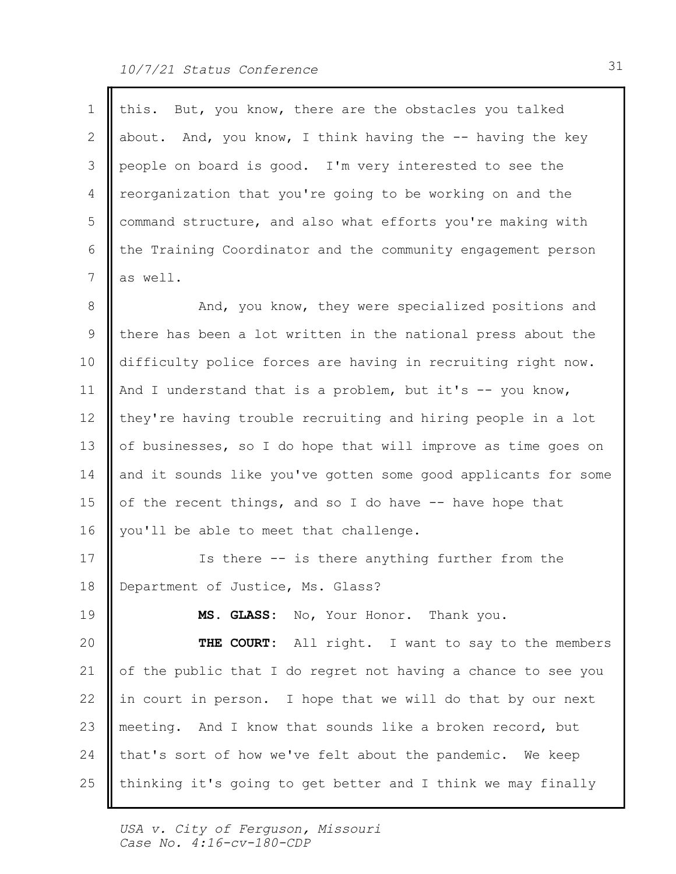| $\mathbf{1}$ | this. But, you know, there are the obstacles you talked        |
|--------------|----------------------------------------------------------------|
| 2            | about. And, you know, I think having the -- having the key     |
| 3            | people on board is good. I'm very interested to see the        |
| 4            | reorganization that you're going to be working on and the      |
| 5            | command structure, and also what efforts you're making with    |
| 6            | the Training Coordinator and the community engagement person   |
| 7            | as well.                                                       |
| 8            | And, you know, they were specialized positions and             |
| 9            | there has been a lot written in the national press about the   |
| 10           | difficulty police forces are having in recruiting right now.   |
| 11           | And I understand that is a problem, but it's $-$ you know,     |
| 12           | they're having trouble recruiting and hiring people in a lot   |
| 13           | of businesses, so I do hope that will improve as time goes on  |
| 14           | and it sounds like you've gotten some good applicants for some |
| 15           | of the recent things, and so I do have -- have hope that       |
| 16           | you'll be able to meet that challenge.                         |
| 17           | Is there -- is there anything further from the                 |
| 18           | Department of Justice, Ms. Glass?                              |
| 19           | MS. GLASS: No, Your Honor. Thank you.                          |
| 20           | THE COURT:<br>All right. I want to say to the members          |
| 21           | of the public that I do regret not having a chance to see you  |
| 22           | in court in person. I hope that we will do that by our next    |
| 23           | meeting. And I know that sounds like a broken record, but      |
| 24           | that's sort of how we've felt about the pandemic. We keep      |
| 25           | thinking it's going to get better and I think we may finally   |
|              |                                                                |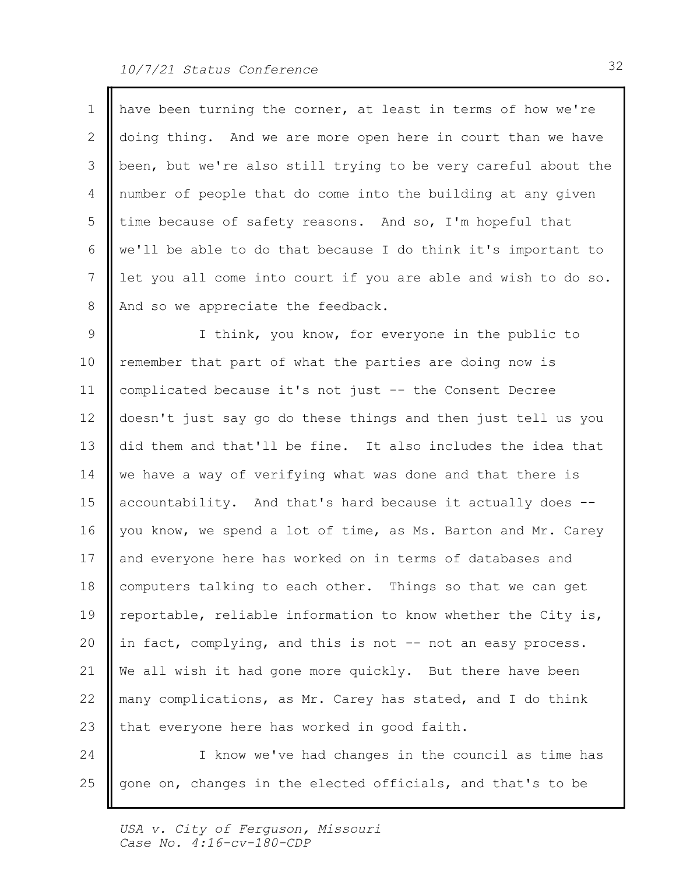$\blacksquare$ 

Ш

| $\mathbf{1}$    | have been turning the corner, at least in terms of how we're   |  |
|-----------------|----------------------------------------------------------------|--|
| 2               | doing thing. And we are more open here in court than we have   |  |
| 3               | been, but we're also still trying to be very careful about the |  |
| $\overline{4}$  | number of people that do come into the building at any given   |  |
| 5               | time because of safety reasons. And so, I'm hopeful that       |  |
| 6               | we'll be able to do that because I do think it's important to  |  |
| $7\phantom{.0}$ | let you all come into court if you are able and wish to do so. |  |
| 8               | And so we appreciate the feedback.                             |  |
| 9               | I think, you know, for everyone in the public to               |  |
| 10              | remember that part of what the parties are doing now is        |  |
| 11              | complicated because it's not just -- the Consent Decree        |  |
| 12 <sup>°</sup> | doesn't just say go do these things and then just tell us you  |  |
| 13              | did them and that'll be fine. It also includes the idea that   |  |
| 14              | we have a way of verifying what was done and that there is     |  |
| 15              | accountability. And that's hard because it actually does --    |  |
| 16              | you know, we spend a lot of time, as Ms. Barton and Mr. Carey  |  |
| 17              | and everyone here has worked on in terms of databases and      |  |
| 18              | computers talking to each other. Things so that we can get     |  |
| 19              | reportable, reliable information to know whether the City is,  |  |
| 20              | in fact, complying, and this is not -- not an easy process.    |  |
| 21              | We all wish it had gone more quickly. But there have been      |  |
| 22              | many complications, as Mr. Carey has stated, and I do think    |  |
| 23              | that everyone here has worked in good faith.                   |  |
| 24              | I know we've had changes in the council as time has            |  |
| 25              | gone on, changes in the elected officials, and that's to be    |  |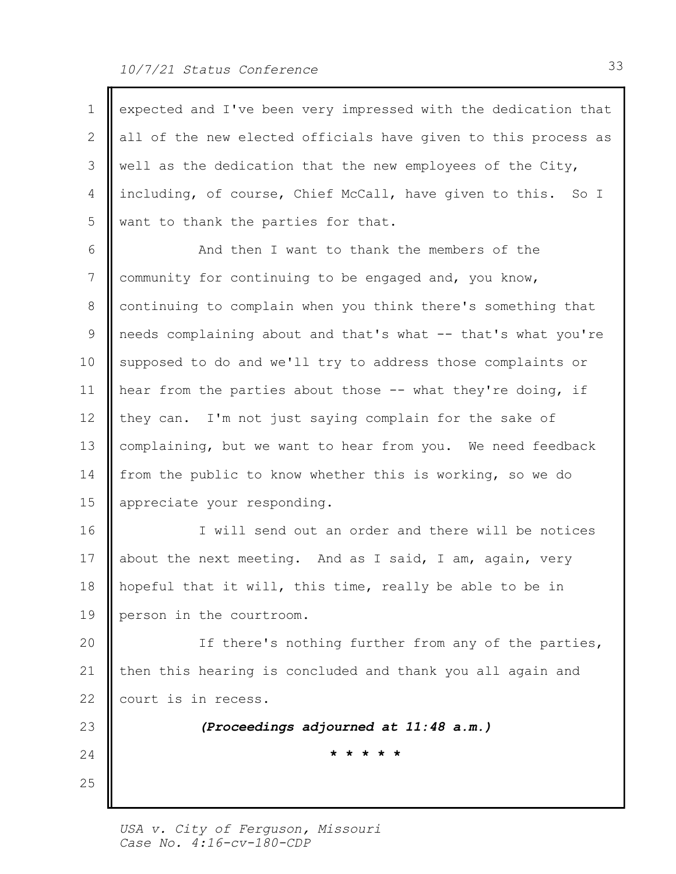| $\mathbf 1$ | expected and I've been very impressed with the dedication that |
|-------------|----------------------------------------------------------------|
| 2           | all of the new elected officials have given to this process as |
| 3           | well as the dedication that the new employees of the City,     |
| 4           | including, of course, Chief McCall, have given to this. So I   |
| 5           | want to thank the parties for that.                            |
| 6           | And then I want to thank the members of the                    |
| 7           | community for continuing to be engaged and, you know,          |
| 8           | continuing to complain when you think there's something that   |
| 9           | needs complaining about and that's what -- that's what you're  |
| 10          | supposed to do and we'll try to address those complaints or    |
| 11          | hear from the parties about those -- what they're doing, if    |
| 12          | they can. I'm not just saying complain for the sake of         |
| 13          | complaining, but we want to hear from you. We need feedback    |
| 14          | from the public to know whether this is working, so we do      |
| 15          | appreciate your responding.                                    |
| 16          | I will send out an order and there will be notices             |
| 17          | about the next meeting. And as I said, I am, again, very       |
| 18          | hopeful that it will, this time, really be able to be in       |
| 19          | person in the courtroom.                                       |
| 20          | If there's nothing further from any of the parties,            |
| 21          | then this hearing is concluded and thank you all again and     |
| 22          | court is in recess.                                            |
| 23          | (Proceedings adjourned at 11:48 a.m.)                          |
| 24          | * * * * *                                                      |
| 25          |                                                                |
|             |                                                                |